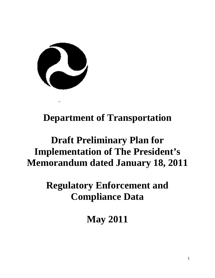

# **Department of Transportation**

# **Draft Preliminary Plan for Implementation of The President's Memorandum dated January 18, 2011**

**Regulatory Enforcement and Compliance Data**

**May 2011**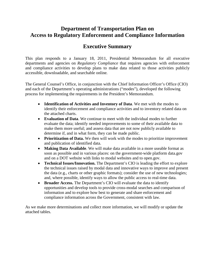# **Department of Transportation Plan on Access to Regulatory Enforcement and Compliance Information**

# **Executive Summary**

This plan responds to a January 18, 2011, Presidential Memorandum for all executive departments and agencies on *Regulatory Compliance* that requires agencies with enforcement and compliance activities to develop plans to make data related to those activities publicly accessible, downloadable, and searchable online*.*

The General Counsel's Office, in conjunction with the Chief Information Officer's Office (CIO) and each of the Department's operating administrations ("modes"), developed the following process for implementing the requirements in the President's Memorandum.

- **Identification of Activities and Inventory of Data**. We met with the modes to identify their enforcement and compliance activities and to inventory related data on the attached charts.
- **Evaluation of Data**. We continue to meet with the individual modes to further evaluate the data; identify needed improvements to some of their available data to make them more useful; and assess data that are not now publicly available to determine if, and in what form, they can be made public.
- **Prioritization of Data.** We then will work with the modes to prioritize improvement and publication of identified data.
- **Making Data Available**. We will make data available in a more useable format as soon as possible and in various places: on the government-wide platform data.gov and on a DOT website with links to modal websites and to open.gov.
- **Technical Issues/Innovation.** The Department's CIO is leading the effort to explore the technical issues raised by modal data and innovative ways to improve and present the data (e.g., charts or other graphic formats); consider the use of new technologies; and, where possible, identify ways to allow the public access to real-time data.
- **Broader Access.** The Department's CIO will evaluate the data to identify opportunities and develop tools to provide cross-modal searches and comparison of information and to explore how best to generate and share enforcement and compliance information across the Government, consistent with law.

As we make more determinations and collect more information, we will modify or update the attached tables.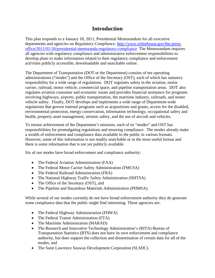# **Introduction**

This plan responds to a January 18, 2011, Presidential Memorandum for all executive departments and agencies on *Regulatory Compliance.* [http://www.whitehouse.gov/the-press](http://www.whitehouse.gov/the-press-office/2011/01/18/presidential-memoranda-regulatory-compliance)[office/2011/01/18/presidential-memoranda-regulatory-compliance](http://www.whitehouse.gov/the-press-office/2011/01/18/presidential-memoranda-regulatory-compliance) The Memorandum requires all agencies with regulatory compliance and administrative enforcement responsibilities to develop plans to make information related to their regulatory compliance and enforcement activities publicly accessible, downloadable and searchable online.

The Department of Transportation (DOT or the Department) consists of ten operating administrations ("modes") and the Office of the Secretary (OST), each of which has statutory responsibility for a wide range of regulations. DOT regulates safety in the aviation, motor carrier, railroad, motor vehicle, commercial space, and pipeline transportation areas. DOT also regulates aviation consumer and economic issues and provides financial assistance for programs involving highways, airports, public transportation, the maritime industry, railroads, and motor vehicle safety. Finally, DOT develops and implements a wide range of Department-wide regulations that govern internal programs such as acquisitions and grants, access for the disabled, environmental protection, energy conservation, information technology, occupational safety and health, property asset management, seismic safety, and the use of aircraft and vehicles.

To ensure achievement of the Department's missions, each of its "modes" and OST has responsibilities for promulgating regulations and ensuring compliance. The modes already make a wealth of enforcement and compliance data available to the public in various formats. However, some of this information is not readily searchable or in the most useful format and there is some information that is not yet publicly available.

Six of our modes have broad enforcement and compliance authority:

- The Federal Aviation Administration (FAA)
- The Federal Motor Carrier Safety Administration (FMCSA)
- The Federal Railroad Administration (FRA)
- The National Highway Traffic Safety Administration (NHTSA)
- The Office of the Secretary (OST), and
- The Pipeline and Hazardous Materials Administration (PHMSA).

While several of our modes currently do not have broad enforcement authority they do generate some compliance data that the public might find interesting. These agencies are:

- The Federal Highway Administration (FHWA)
- The Federal Transit Administration (FTA)
- The Maritime Administration (MARAD)
- The Research and Innovative Technology Administration's (RITA) Bureau of Transportation Statistics (BTS) does not have its own enforcement and compliance authority, but does support the collection and dissemination of certain data for all of the modes, and
- The Saint Lawrence Seaway Development Corporation (SLSDC).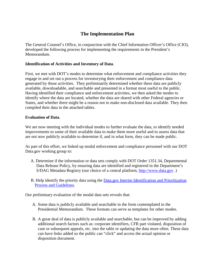# **The Implementation Plan**

The General Counsel's Office, in conjunction with the Chief Information Officer's Office (CIO), developed the following process for implementing the requirements in the President's Memorandum.

#### **Identification of Activities and Inventory of Data**.

First, we met with DOT's modes to determine what enforcement and compliance activities they engage in and set out a process for inventorying their enforcement and compliance data generated by those activities. They preliminarily determined whether these data are publicly available, downloadable, and searchable and presented in a format most useful to the public. Having identified their compliance and enforcement activities, we then asked the modes to identify where the data are located, whether the data are shared with other Federal agencies or States, and whether there might be a reason not to make non-disclosed data available. They then compiled their data in the attached tables.

#### **Evaluation of Data**.

We are now meeting with the individual modes to further evaluate the data, to identify needed improvements to some of their available data to make them more useful and to assess data that are not now publicly available to determine if, and in what form, they can be made public.

As part of this effort, we linked up modal enforcement and compliance personnel with our DOT Data.gov working group to:

- A. Determine if the information or data sets comply with DOT Order 1351.34, Departmental Data Release Policy, by ensuring data are identified and registered in the Department's S/DAG Metadata Registry (our choice of a central platform, [http://www.data.gov](http://www.data.gov/) .)
- B. Help identify the priority data using the [Data.gov Interim Identification and Prioritization](http://www.dot.gov/open/pdf/identpriorguidelines1.0.pdf)  [Process and Guidelines.](http://www.dot.gov/open/pdf/identpriorguidelines1.0.pdf)

Our preliminary evaluation of the modal data sets reveals that:

- A. Some data is publicly available and searchable in the form contemplated in the Presidential Memorandum. These formats can serve as templates for other modes.
- B. A great deal of data is publicly available and searchable, but can be improved by adding additional search factors such as: corporate identifiers, CFR part violated, disposition of case or subsequent appeals, etc. into the table or updating the data more often. These data can have links added so the public can "click" and access the actual opinion or disposition document.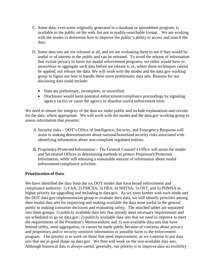- C. Some data, even some originally generated in a database or spreadsheet program, is available to the public on the web, but not in readily-searchable format. We are working with the modes to determine how to improve the public's ability to access and search the data.
- D. Some data sets are not released at all, and we are evaluating them to see if they would be useful or of interest to the public and can be released. To avoid the release of information that violate privacy or harm our modal enforcement programs, we either would have to anonymize or aggregate such data before we release it, or, where these techniques cannot be applied, not release the data. We will work with the modes and the data.gov working group to figure out how to handle these more problematic data sets. Reasons for not disclosing data could include:
	- Data are preliminary, incomplete, or unverified.
	- Disclosure would harm potential enforcement/compliance proceedings by signaling agency tactics or cause the agency to abandon useful enforcement tools.

We need to ensure the integrity of the data we make public and include explanations and caveats for the data, where appropriate. We will work with the modes and the data.gov working group to assess information that presents:

- A. Security risks DOT's Office of Intelligence, Security, and Emergency Response will assist in making determinations about national/homeland security risks associated with identifying information about non-compliant regulated entities.
- B. Proprietary/Protected Information The General Counsel's Office will assist the modes and Secretarial Offices in determining methods to protect Proprietary/Protected Information, while still releasing a reasonable amount of information about modal enforcement/compliance activities.

#### **Prioritization of Data**.

We have identified the data from the six DOT modes that have broad enforcement and compliance authority: 1) FAA; 2) FMCSA; 3) FRA; 4) NHTSA; 5) OST; and 6) PHMSA as higher priority for upgrading and including in data.gov. As we meet further with each mode and the DOT data.gov implementation group to evaluate their data, we will identify priorities among their modal data sets for improving and making available the data most useful to the general public in making consumer decisions and evaluating safety. The attached tables are separated into three groups: 1) publicly available data sets that already meet necessary requirements and are scheduled to go on data.gov; 2) publicly available data sets that we need to improve to meet the requirements of the President's Memorandum; and 3) non-available data sets that have limited utility, need aggregation, or cannot be made public because of concerns about privacy and proprietary and/or security sensitive information or possible harm to the enforcement program. Our priority is to work on those that need improvement, as we continue to put data sets that are in good shape on data.gov. We then will work on the non-available data sets. Although historical data is always useful, generally, our priority is to improve data accessibility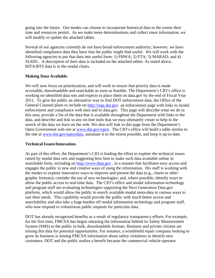going into the future. Our modes can choose to incorporate historical data to the extent their time and resources permit. As we make more determinations and collect more information, we will modify or update the attached tables.

Several of our agencies currently do not have broad enforcement authority; however, we have identified compliance data they have that the public might find useful. We will work with the following agencies to put that data into useful form: 1)  $\overline{FHWA}$ ; 2)  $\overline{FTA}$ ; 3) MARAD; and 4) SLSDC. A description of their data is included on the attached tables. As noted above, RITA/BTS data is in the modal charts.

#### **Making Data Available**.

We will now focus on prioritization, and will work to ensure that priority data is made accessible, downloadable and searchable as soon as feasible. The Department's CIO's office is working on identified data sets and expects to place them on data.gov by the end of Fiscal Year 2011. To give the public an alternative way to find DOT enforcement data, the Office of the General Counsel plans to include on [http://regs.dot.gov](http://regs.dot.gov/) an enforcement page with links to modal enforcement and compliance web sites and to data.gov. This page will describe what we do in this area, provide a list of the data that is available throughout the Department with links to the data, and describe and link to any on-line tools that we may ultimately create to help in the search of the data we have on the web. We also will link to this page from the Department's Open Government web site at [www.dot.gov/open.](http://www.dot.gov/open) The CIO's office will build a table similar to the one at [www.dot.gov/open/data,](http://www.dot.gov/open/data) automate it to the extent possible, and keep it up-to-date.

#### **Technical Issues/Innovation.**

As part of this effort, the Department's CIO is leading the effort to explore the technical issues raised by modal data sets and suggesting how best to make such data available online in searchable form, including on [http://www.data.gov](http://www.data.gov/), in a manner that facilitates easy access and engages the public in new and creative ways of using the information. His staff is working with the modes to explore innovative ways to improve and present the data (e.g., charts or other graphic formats); consider the use of new technologies; and, where possible, identify ways to allow the public access to real-time data. The CIO's office and modal information technology and program staff are evaluating technologies supporting the Next Generation Data.gov platform, which would allow the public to search available modal meta-data in various ways to suit their needs. This capability would provide the public with much better access and searchability and also take a huge burden off modal information technology and program staff, who now respond to voluminous public requests for particular data.

DOT has already recognized benefits as a result of regulatory transparency efforts. For example, for the first time, FMCSA has begun releasing the information behind its Safety Measurement System (SMS) to the public in bulk, downloadable formats. Business and private citizens are mining this data for potential opportunities. For instance, a windshield repair company looking to grow its business is mining FMCSA information about safety violations to identify new customers. DOT and the public realize a benefit because the commercial vehicle operator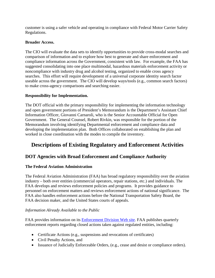customer is using a safer vehicle and operating in compliance with Federal Motor Carrier Safety Regulations.

## **Broader Access.**

The CIO will evaluate the data sets to identify opportunities to provide cross-modal searches and comparison of information and to explore how best to generate and share enforcement and compliance information across the Government, consistent with law. For example, the FAA has suggested consolidating into one place multimodal, hazardous materials enforcement activity or noncompliance with industry drug and alcohol testing, organized to enable cross agency searches. This effort will require development of a universal corporate identity search factor useable across the government. The CIO will develop ways/tools (e.g., common search factors) to make cross-agency comparisons and searching easier.

# **Responsibility for Implementation.**

The DOT official with the primary responsibility for implementing the information technology and open government portions of President's Memorandum is the Department's Assistant Chief Information Officer, Giovanni Carnaroli, who is the Senior Accountable Official for Open Government. The General Counsel, Robert Rivkin, was responsible for the portion of the Memorandum involving identifying Departmental enforcement and compliance data and developing the implementation plan. Both Offices collaborated on establishing the plan and worked in close coordination with the modes to compile the inventory.

# **Descriptions of Existing Regulatory and Enforcement Activities**

# **DOT Agencies with Broad Enforcement and Compliance Authority**

# **The Federal Aviation Administration**

The Federal Aviation Administration (FAA) has broad regulatory responsibility over the aviation industry – both over entities (commercial operators, repair stations, etc.) and individuals. The FAA develops and reviews enforcement policies and programs. It provides guidance to personnel on enforcement matters and reviews enforcement actions of national significance. The FAA also handles enforcement actions before the National Transportation Safety Board, the FAA decision maker, and the United States courts of appeals.

# *Information Already Available to the Public*

FAA provides information on its [Enforcement Division Web site.](http://www.faa.gov/about/office_org/headquarters_offices/agc/operations/agc300/Reports/Quarters/) FAA publishes quarterly enforcement reports regarding closed actions taken against regulated entities, including:

- Certificate Actions (e.g., suspensions and revocations of certificates)
- Civil Penalty Actions, and
- Issuance of Judicially Enforceable Orders, (e.g., cease and desist or compliance orders).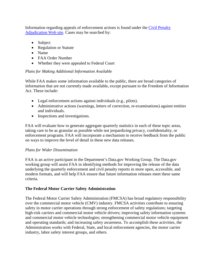Information regarding appeals of enforcement actions is found under the [Civil Penalty](http://www.faa.gov/about/office_org/headquarters_offices/agc/pol_adjudication/agc400/civil_penalty/)  [Adjudication Web site.](http://www.faa.gov/about/office_org/headquarters_offices/agc/pol_adjudication/agc400/civil_penalty/) Cases may be searched by:

- Subject
- Regulation or Statute
- Name
- FAA Order Number
- Whether they were appealed to Federal Court

# *Plans for Making Additional Information Available*

While FAA makes some information available to the public, there are broad categories of information that are not currently made available, except pursuant to the Freedom of Information Act. These include:

- Legal enforcement actions against individuals (e.g., pilots).
- Administrative actions (warnings, letters of correction, re-examinations) against entities and individuals.
- Inspections and investigations.

FAA will evaluate how to generate aggregate quarterly statistics in each of these topic areas, taking care to be as granular as possible while not jeopardizing privacy, confidentiality, or enforcement programs. FAA will incorporate a mechanism to receive feedback from the public on ways to improve the level of detail in these new data releases.

# *Plans for Wider Dissemination*

FAA is an active participant in the Department's Data.gov Working Group. The Data.gov working group will assist FAA in identifying methods for improving the release of the data underlying the quarterly enforcement and civil penalty reports in more open, accessible, and modern formats, and will help FAA ensure that future information releases meet these same criteria.

# **The Federal Motor Carrier Safety Administration**

The Federal Motor Carrier Safety Administration (FMCSA) has broad regulatory responsibility over the commercial motor vehicle (CMV) industry. FMCSA activities contribute to ensuring safety in motor carrier operations through strong enforcement of safety regulations; targeting high-risk carriers and commercial motor vehicle drivers; improving safety information systems and commercial motor vehicle technologies; strengthening commercial motor vehicle equipment and operating standards; and increasing safety awareness. To accomplish these activities, the Administration works with Federal, State, and local enforcement agencies, the motor carrier industry, labor safety interest groups, and others.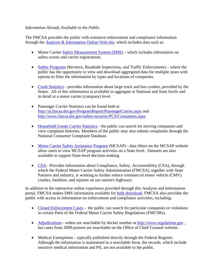#### *Information Already Available to the Public*

The FMCSA provides the public with extensive enforcement and compliance information through the [Analysis & Information Online Web site,](http://ai.fmcsa.dot.gov/) which includes data such as:

- Motor Carrier [Safety Measurement System \(SMS\)](http://ai.fmcsa.dot.gov/SMS/Data/Downloads.aspx) which includes information on safety scores and carrier registrations.
- [Safety Programs](http://ai.fmcsa.dot.gov/SafetyProgram/home.aspx) (Reviews, Roadside Inspections, and Traffic Enforcement) where the public has the opportunity to view and download aggregated data for multiple years with options to filter the information by types and locations of companies.
- [Crash Statistics](http://ai.fmcsa.dot.gov/CrashProfile/CrashProfileMainNew.asp) provides information about large truck and bus crashes, provided by the States. All of this information is available in aggregate at National and State levels and in detail at a motor carrier (company) level.
- Passenger Carrier Statistics can be found both at <http://ai.fmcsa.dot.gov/ProgramReport/PassengerCarrier.aspx> and <http://www.fmcsa.dot.gov/safety-security/PCS/Consumers.aspx>.
- [Household Goods Carrier Statistics](http://ai.volpe.dot.gov/hhg/search.asp) the public can search for moving companies and view complaint histories. Members of the public may also submit complaints through the National Consumer Complaint Database.
- [Motor Carrier Safety Assistance Program](http://ai.fmcsa.dot.gov/StatePrograms/Home.aspx) (MCSAP) data filters on the MCSAP website allow users to view MCSAP program activities on a State level. Datasets are also available to support State-level decision making.
- [CSA](http://csa.fmcsa.dot.gov/default.aspx) Provides information about Compliance, Safety, Accountability (CSA), through which the Federal Motor Carrier Safety Administration (FMCSA), together with State Partners and industry, is working to further reduce commercial motor vehicle (CMV) crashes, fatalities, and injuries on our nation's highways.

In addition to the interactive online experience provided through this Analysis and Information portal, FMCSA makes SMS information available for [bulk download.](http://ai.fmcsa.dot.gov/SMS/Data/Downloads.aspx) FMCSA also provides the public with access to information on enforcement and compliance activities, including:

- [Closed Enforcement Cases](http://www.fmcsa.dot.gov/facts-research/enforcement-reports/enforcement-reports.aspx) the public can search for particular companies or violations in certain Parts of the Federal Motor Carrier Safety Regulations (FMCSRs).
- [Adjudications](http://www.fmcsa.dot.gov/about/offices/cc/chiefcounsel.aspx) orders are searchable by docket number at [http://www.regulations.gov](http://www.regulations.gov/), but cases from 2009-present are searchable on the Office of Chief Counsel website.
- Medical Exemptions typically published directly through the Federal Register. Although the information is maintained in a searchable form, the records, which include sensitive medical information and PII, are not available to the public.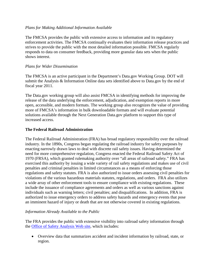#### *Plans for Making Additional Information Available*

The FMCSA provides the public with extensive access to information and its regulatory enforcement activities. The FMCSA continually evaluates their information release practices and strives to provide the public with the most detailed information possible. FMCSA regularly responds to data on consumer feedback, providing more granular data sets when the public shows interest.

#### *Plans for Wider Dissemination*

The FMCSA is an active participant in the Department's Data.gov Working Group. DOT will submit the Analysis & Information Online data sets identified above to Data.gov by the end of fiscal year 2011.

The Data.gov working group will also assist FMCSA in identifying methods for improving the release of the data underlying the enforcement, adjudication, and exemption reports in more open, accessible, and modern formats. The working group also recognizes the value of providing more of FMCSA's information in bulk downloadable formats and will evaluate potential solutions available through the Next Generation Data.gov platform to support this type of increased access.

#### **The Federal Railroad Administration**

The Federal Railroad Administration (FRA) has broad regulatory responsibility over the railroad industry. In the 1890s, Congress began regulating the railroad industry for safety purposes by enacting narrowly drawn laws to deal with discrete rail safety issues. Having determined the need for more comprehensive regulation, Congress enacted the Federal Railroad Safety Act of 1970 (FRSA), which granted rulemaking authority over "all areas of railroad safety." FRA has exercised this authority by issuing a wide variety of rail safety regulations and makes use of civil penalties and criminal penalties in limited circumstances as a means of enforcing those regulations and safety statutes. FRA is also authorized to issue orders assessing civil penalties for violations of the various hazardous materials statutes, regulations, and orders. FRA also utilizes a wide array of other enforcement tools to ensure compliance with existing regulations. These include the issuance of compliance agreements and orders as well as various sanctions against individuals such as warning letters; civil penalties; and disqualifications. In addition, FRA is authorized to issue emergency orders to address safety hazards and emergency events that pose an imminent hazard of injury or death that are not otherwise covered in existing regulations.

#### *Information Already Available to the Public*

The FRA provides the public with extensive visibility into railroad safety information through the [Office of Safety Analysis Web site,](http://safetydata.fra.dot.gov/OfficeofSafety/) which includes:

• Overview data that summarizes accident and incident information by railroad, state, or region.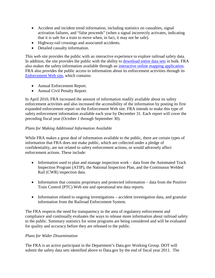- Accident and incident trend information, including statistics on casualties, signal activation failures, and "false proceeds" (when a signal incorrectly activates, indicating that it is safe for a train to move when, in fact, it may not be safe).
- Highway-rail crossings and associated accidents.
- Detailed casualty information.

This web site provides the public with an interactive experience to explore railroad safety data. In addition, the site provides the public with the ability to [download entire data sets](http://safetydata.fra.dot.gov/OfficeofSafety/publicsite/downloads/downloads.aspx) in bulk. FRA also makes the safety information available through an [interactive online mapping application.](http://fragis.frasafety.net/GISFRASafety/default.aspx) FRA also provides the public access to information about its enforcement activities through its [Enforcement Web site,](http://www.fra.dot.gov/rcc/pages/fp_2239.shtml) which contains:

- Annual Enforcement Report.
- Annual Civil Penalty Report.

In April 2010, FRA increased the amount of information readily available about its safety enforcement activities and also increased the accessibility of the information by posting its first expanded enforcement report on the Enforcement Web site. FRA intends to make this type of safety enforcement information available each year by December 31. Each report will cover the preceding fiscal year (October 1 through September 30).

# *Plans for Making Additional Information Available*

While FRA makes a great deal of information available to the public, there are certain types of information that FRA does not make public, which are collected under a pledge of confidentiality, are not related to safety enforcement actions, or would adversely affect enforcement actions. These include:

- Information used to plan and manage inspection work data from the Automated Track Inspection Program (ATIP), the National Inspection Plan, and the Continuous Welded Rail (CWR) inspection data.
- Information that contains proprietary and protected information data from the Positive Train Control (PTC) Web site and operational test data reports.
- Information related to ongoing investigations accident investigation data, and granular information from the Railroad Enforcement System.

The FRA respects the need for transparency in the area of regulatory enforcement and compliance and continually evaluates the ways to release more information about railroad safety to the public. Summary statistics for some programs are being considered and will be evaluated for quality and accuracy before they are released to the public.

# *Plans for Wider Dissemination*

The FRA is an active participant in the Department's Data.gov Working Group. DOT will submit the safety data sets identified above to Data.gov by the end of fiscal year 2011. The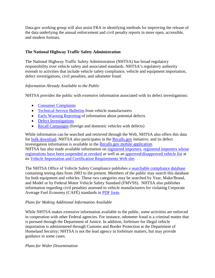Data.gov working group will also assist FRA in identifying methods for improving the release of the data underlying the annual enforcement and civil penalty reports in more open, accessible, and modern formats.

## **The National Highway Traffic Safety Administration**

The National Highway Traffic Safety Administration (NHTSA) has broad regulatory responsibility over vehicle safety and associated standards. NHTSA's regulatory authority extends to activities that include vehicle safety compliance, vehicle and equipment importation, defect investigations, civil penalties, and odometer fraud.

## *Information Already Available to the Public*

NHTSA provides the public with extensive information associated with its defect investigations:

- [Consumer Complaints](http://www-odi.nhtsa.dot.gov/complaints/)
- [Technical Service Bulletins](http://www-odi.nhtsa.dot.gov/tsbs/) from vehicle manufacturers
- [Early Warning Reporting](http://www-odi.nhtsa.dot.gov/ewr/) of information about potential defects
- [Defect Investigations](http://www-odi.nhtsa.dot.gov/defects/)
- [Recall Campaigns](http://www-odi.nhtsa.dot.gov/recalls/) (foreign and domestic vehicles with defects)

While information can be searched and retrieved through the Web, NHTSA also offers this data for [bulk download.](http://www-odi.nhtsa.dot.gov/downloads/) NHTSA also participates in the [Recalls.gov](http://www.recalls.gov/) initiative, and its defect investigation information is available in the [Recalls.gov mobile application.](http://apps.usa.gov/product-recalls-2/) NHTSA has also made available information on [registered importers,](http://www.nhtsa.gov/cars/rules/import/Active%20RI%20list01042011.pdf) [registered importers whose](http://www.nhtsa.gov/cars/rules/import/RegisteredImportersSuspendedorRevoked.pdf)  [registrations have been suspended or revoked](http://www.nhtsa.gov/cars/rules/import/RegisteredImportersSuspendedorRevoked.pdf) as well as an [approved/disapproved vehicle list](http://www.nhtsa.gov/cars/rules/import/sdlist040109.pdf) at its [Vehicle Importation and Certification Requirements Web site.](http://www.nhtsa.gov/cars/rules/import/)

The NHTSA Office of Vehicle Safety Compliance publishes a [searchable compliance database](http://www.nhtsa.gov/cars/problems/comply/) containing testing data from 2003 to the present. Members of the public may search this database for both equipment and vehicles. These two categories may be searched by Year, Make/Brand, and Model or by Federal Motor Vehicle Safety Standard (FMVSS). NHTSA also publishes information regarding civil penalties assessed to vehicle manufacturers for violating Corporate Average Fuel Economy (CAFÉ) standards in [PDF form.](http://www.nhtsa.gov/staticfiles/rulemaking/pdf/cafe/Fines_Collected_112010.pdf)

# *Plans for Making Additional Information Available*

While NHTSA makes extensive information available to the public, some activities are enforced in cooperation with other Federal agencies. For instance, odometer fraud is a criminal matter that is pursued through the Department of Justice. In addition, forfeiture for illegal vehicle importation is administered through Customs and Border Protection at the Department of Homeland Security; NHTSA is not the lead agency in forfeiture matters, but may provide guidance in some cases.

#### *Plans for Wider Dissemination*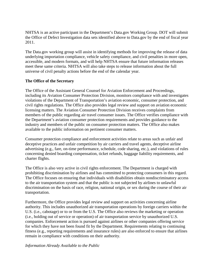NHTSA is an active participant in the Department's Data.gov Working Group. DOT will submit the Office of Defect Investigation data sets identified above to Data.gov by the end of fiscal year 2011.

The Data.gov working group will assist in identifying methods for improving the release of data underlying importation compliance, vehicle safety compliance, and civil penalties in more open, accessible, and modern formats, and will help NHTSA ensure that future information releases meet these same criteria. NHTSA will also take steps to release information about the full universe of civil penalty actions before the end of the calendar year.

#### **The Office of the Secretary**

The Office of the Assistant General Counsel for Aviation Enforcement and Proceedings, including its Aviation Consumer Protection Division, monitors compliance with and investigates violations of the Department of Transportation's aviation economic, consumer protection, and civil rights regulations. The Office also provides legal review and support on aviation economic licensing matters. The Aviation Consumer Protection Division receives complaints from members of the public regarding air travel consumer issues. The Office verifies compliance with the Department's aviation consumer protection requirements and provides guidance to the industry and members of the public on consumer protection matters. The Office also makes available to the public information on pertinent consumer matters.

Consumer protection compliance and enforcement activities relate to areas such as unfair and deceptive practices and unfair competition by air carriers and travel agents, deceptive airline advertising (e.g., fare, on-time performance, schedule, code sharing, etc.), and violations of rules concerning denied boarding compensation, ticket refunds, baggage liability requirements, and charter flights.

The Office is also very active in civil rights enforcement. The Department is charged with prohibiting discrimination by airlines and has committed to protecting consumers in this regard. The Office focuses on ensuring that individuals with disabilities obtain nondiscriminatory access to the air transportation system and that the public is not subjected by airlines to unlawful discrimination on the basis of race, religion, national origin, or sex during the course of their air transportation.

Furthermore, the Office provides legal review and support on activities concerning airline authority. This includes unauthorized air transportation operations by foreign carriers within the U.S. (i.e., cabotage) or to or from the U.S. The Office also reviews the marketing or operation (i.e., holding out of service or operation) of air transportation service by unauthorized U.S. companies. Enforcement action is pursued against airlines or other companies offering service for which they have not been found fit by the Department. Requirements relating to continuing fitness (e.g., reporting requirements and insurance rules) are also enforced to ensure that airlines remain in compliance with conditions on their authority.

#### *Information Already Available to the Public*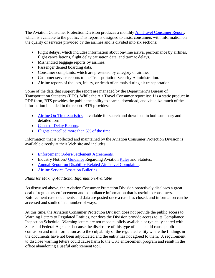The Aviation Consumer Protection Division produces a monthly **Air Travel Consumer Report,** which is available to the public. This report is designed to assist consumers with information on the quality of services provided by the airlines and is divided into six sections:

- Flight delays, which includes information about on-time arrival performance by airlines, flight cancellations, flight delay causation data, and tarmac delays.
- Mishandled baggage reports by airlines.
- Passenger denied boarding data.
- Consumer complaints, which are presented by category or airline.
- Customer service reports to the Transportation Security Administration.
- Airline reports of the loss, injury, or death of animals during air transportation.

Some of the data that support the report are managed by the Department's Bureau of Transportation Statistics (BTS). While the Air Travel Consumer report itself is a static product in PDF form, BTS provides the public the ability to search, download, and visualize much of the information included in the report. BTS provides:

- [Airline On-Time Statistics](http://www.bts.gov/xml/ontimesummarystatistics/src/index.xml) available for search and download in both summary and detailed form.
- [Cause of Delay Reports](http://www.transtats.bts.gov/OT_Delay/OT_DelayCause1.asp).
- [Flights cancelled more than 5% of the time](http://www.bts.gov/5PctCancels/index.html)

Information that is collected and maintained by the Aviation Consumer Protection Division is available directly at their Web site and includes:

- [Enforcement Orders/Settlement Agreements](http://airconsumer.dot.gov/rules/consentorders.htm).
- Industry Notices/ [Guidance](http://airconsumer.dot.gov/rules/guidance.htm) Regarding Aviation [Rules](http://airconsumer.dot.gov/rules/rules.htm) and Statutes.
- [Annual Report on Disability-Related Air Travel Complaints](http://airconsumer.dot.gov/publications/gateway1.htm).
- [Airline Service Cessation Bulletins](http://airconsumer.dot.gov/cessations.htm).

# *Plans for Making Additional Information Available*

As discussed above, the Aviation Consumer Protection Division proactively discloses a great deal of regulatory enforcement and compliance information that is useful to consumers. Enforcement case documents and data are posted once a case has closed, and information can be accessed and studied in a number of ways.

At this time, the Aviation Consumer Protection Division does not provide the public access to Warning Letters to Regulated Entities, nor does the Division provide access to its Compliance Inspection Schedule. Warning letters are not made publicly available or typically shared with State and Federal Agencies because the disclosure of this type of data could cause public confusion and misinformation as to the culpability of the regulated entity where the findings in the documents have not been adjudicated and the entity has not agreed to them. A requirement to disclose warning letters could cause harm to the OST enforcement program and result in the office abandoning a useful enforcement tool.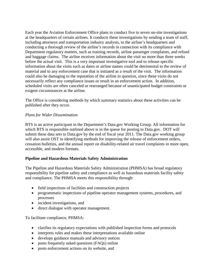Each year the Aviation Enforcement Office plans to conduct five to seven on-site investigations at the headquarters of certain airlines. It conducts these investigations by sending a team of staff, including attorneys and transportation industry analysts, to the airline's headquarters and conducting a thorough review of the airline's records in connection with its compliance with Department regulatory matters, such as training records, airline passenger complaints, and refund and baggage claims. The airline receives information about the visit no more than three weeks before the actual visit. This is a very important investigative tool and to release specific information about the visits such as dates or airline names could be detrimental to the review of material and to any enforcement case that is initiated as a result of the visit. The information could also be damaging to the reputation of the airline in question, since these visits do not necessarily reflect any compliance issues or result in an enforcement action. In addition, scheduled visits are often canceled or rearranged because of unanticipated budget constraints or exigent circumstances at the airline.

The Office is considering methods by which summary statistics about these activities can be published after they occur.

#### *Plans for Wider Dissemination*

BTS is an active participant in the Department's Data.gov Working Group. All information for which BTS is responsible outlined above is in the queue for posting to Data.gov. DOT will submit these data sets to Data.gov by the end of fiscal year 2011. The Data.gov working group will also assist OST in identifying methods for improving the release of enforcement orders, cessation bulletins, and the annual report on disability-related air travel complaints in more open, accessible, and modern formats.

#### **Pipeline and Hazardous Materials Safety Administration**

The Pipeline and Hazardous Materials Safety Administration (PHMSA) has broad regulatory responsibility for pipeline safety and compliance as well as hazardous materials facility safety and compliance. The PHMSA meets this responsibility through:

- field inspections of facilities and construction projects
- programmatic inspections of pipeline operator management systems, procedures, and processes
- incident investigations, and
- direct dialogue with operator management.

To facilitate compliance, PHMSA:

- clarifies its regulatory expectations with published inspection forms and protocols
- interprets rules and makes these interpretations available online
- develops guidance manuals and advisory notices
- posts frequently asked questions (FAQs) online
- posts enforcement actions on its website, and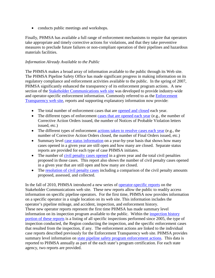• conducts public meetings and workshops.

Finally, PHMSA has available a full range of enforcement mechanisms to require that operators take appropriate and timely corrective actions for violations, and that they take preventive measures to preclude future failures or non-compliant operation of their pipelines and hazardous materials facilities.

#### *Information Already Available to the Public*

The PHMSA makes a broad array of information available to the public through its Web site. The PHMSA Pipeline Safety Office has made significant progress in making information on its regulatory compliance and enforcement activities available to the public. In the spring of 2007, PHMSA significantly enhanced the transparency of its enforcement program actions. A new section of the [Stakeholder Communications web site](http://primis.phmsa.dot.gov/comm) was developed to provide industry-wide and operator-specific enforcement information. Commonly referred to as the [Enforcement](http://primis.phmsa.dot.gov/comm/reports/enforce/Enforcement.html?nocache=8644)  [Transparency web site,](http://primis.phmsa.dot.gov/comm/reports/enforce/Enforcement.html?nocache=8644) reports and supporting explanatory information now provide:

- The total number of enforcement cases that are [opened and closed](http://primis.phmsa.dot.gov/comm/reports/enforce/EnfHome.html?nocache=2161) each year.
- The different types of enforcement [cases that are opened each year](http://primis.phmsa.dot.gov/comm/reports/enforce/Actions_opid_0.html?nocache=7143) (e.g., the number of Corrective Action Orders issued, the number of Notices of Probable Violation letters issued, etc.)
- The different types of enforcement [actions taken to resolve cases each year](http://primis.phmsa.dot.gov/comm/reports/enforce/Actions_opid_0.html?nocache=7143#_TP_1_tab_2) (e.g., the number of Corrective Action Orders closed, the number of Final Orders issued, etc.)
- Summary level [case status information](http://primis.phmsa.dot.gov/comm/reports/enforce/CaseStatus_opid_0.html?nocache=8759) on a year-by-year basis that shows how many cases opened in a given year are still open and how many are closed. Separate status reports are provided for each type of case PHMSA initiates.
- The number of [civil penalty cases opened](http://primis.phmsa.dot.gov/comm/reports/enforce/CivilPenalty_opid_0.html?nocache=5512#_TP_1_tab_1) in a given year and the total civil penalties proposed in those cases. This report also shows the number of civil penalty cases opened in a given year that are still open and how many are closed.
- The [resolution of civil penalty cases](http://primis.phmsa.dot.gov/comm/reports/enforce/CivilPenalty_opid_0.html?nocache=5512#_TP_1_tab_2) including a comparison of the civil penalty amounts proposed, assessed, and collected.

In the fall of 2010, PHMSA introduced a new series of [operator-specific reports](http://primis.phmsa.dot.gov/comm/reports/operator/Operatorlist.html?nocache=3692) on the Stakeholder Communications web site. These new reports allow the public to readily access information on specific pipeline operators. For the first time, PHMSA now provides information on a specific operator in a single location on its web site. This information includes the operator's pipeline mileage, and accident, inspection, and enforcement history. These new operator reports represent the first time PHMSA has made summary level information on its inspection program available to the public. Within the [inspection history](http://primis.phmsa.dot.gov/comm/reports/operator/OperatorIE_opid_31618.html?nocache=8034#_InspectionActivity_tab_2)  [portion of these reports](http://primis.phmsa.dot.gov/comm/reports/operator/OperatorIE_opid_31618.html?nocache=8034#_InspectionActivity_tab_2) is a listing of all specific inspections performed since 2005, the type of inspection conducted, the Region conducting the inspection, and the specific enforcement cases that resulted from the inspection, if any. The enforcement actions are linked to the individual case reports described previously for the Enforcement Transparency web site. PHMSA provides summary level information on [state pipeline safety program enforcement actions.](http://primis.phmsa.dot.gov/comm/reports/stenforce/StateEnfDet_state_AZ.html?nocache=657) This data is reported to PHMSA annually as part of the each state's program certification. For each state agency, two reports are provided.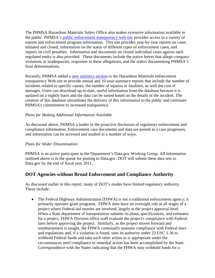The PHMSA Hazardous Materials Safety Office also makes extensive information available to the public. PHMSA's [public enforcement transparency web site](http://www.phmsa.dot.gov/hazmat/enforcement/reports-documents) provides access to a variety of reports and enforcement program information. This site provides year-by-year reports on cases initiated and closed; information on the status of different types of enforcement cases, and reports on civil penalties. Information and documents on closed individual cases against each regulated entity is also provided. These documents include the notice letters that allege company violations or inadequacies, responses to these allegations, and the orders documenting PHMSA's final determinations.

Recently, PHMSA added a [new statistics section](http://www.phmsa.dot.gov/hazmat/library/data-stats/incidents) to the Hazardous Materials enforcement transparency Web site to provide annual and 10-year summary reports that include the number of incidents related to specific causes, the number of injuries or fatalities, as well the cost of damages. Users can download up-to-date, useful information from the database because it is updated on a nightly basis and the data can be sorted based on the details of the incident. The creation of this database streamlines the delivery of this information to the public and continues PHMSA's commitment to increased transparency.

## *Plans for Making Additional Information Available*

As discussed above, PHMSA a leader in the proactive disclosure of regulatory enforcement and compliance information. Enforcement case documents and data are posted as a case progresses, and information can be accessed and studied in a number of ways.

#### *Plans for Wider Dissemination*

PHMSA is an active participant in the Department's Data.gov Working Group. All information outlined above is in the queue for posting to Data.gov. DOT will submit these data sets to Data.gov by the end of fiscal year 2011.

# **DOT Agencies without Broad Enforcement and Compliance Authority**

As discussed earlier in this report, many of DOT's modes have limited regulatory authority. These include:

• The Federal Highway Administration (FHWA) is not a traditional enforcement agency; it primarily operates grant programs. FHWA does have an oversight role at all stages of a project where Federal-aid monies are involved, largely at the project approval level. When a State department of transportation submits its plans, specifications, and estimates for a project, FHWA Division office staff evaluate the project's compliance with Federal laws before approving the project. Similarly, as the project moves forward and reimbursement is sought, the FHWA continually assesses compliance with Federal laws and regulations and, if a violation is found, uses its authority under 23 USC 1.36 to withhold Federal funds and take such other action as is appropriate under the circumstances until compliance or remedial action has been accomplished by the State. Correspondence with the States indicating that the FHWA may withhold funds for a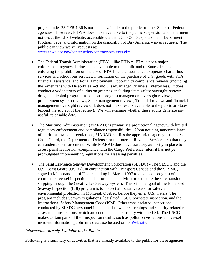project under 23 CFR 1.36 is not made available to the public or other States or Federal agencies. However, FHWA does make available to the public suspension and debarment notices at the ELPS website, accessible via the DOT OST Suspension and Debarment Program page, and information on the disposition of Buy America waiver requests. The public can view waiver requests at:

[www.fhwa.dot.gov/construction/contracts/waivers.cfm](http://www.fhwa.dot.gov/construction/contracts/waivers.cfm)

- The Federal Transit Administration (FTA) like FHWA, FTA is not a major enforcement agency. It does make available to the public and to States decisions enforcing the prohibition on the use of FTA financial assistance to operate charter bus services and school bus services, information on the purchase of U.S. goods with FTA financial assistance, and Equal Employment Opportunity compliance reviews (including the Americans with Disabilities Act and Disadvantaged Business Enterprises). It does conduct a wide variety of audits on grantees, including State safety oversight reviews, drug and alcohol program inspections, program management oversight reviews, procurement system reviews, State management reviews, Triennial reviews and financial management oversight reviews. It does not make results available to the public or States (except the subject of the review). We will examine whether these audits generate any useful, releasable data.
- The Maritime Administration (MARAD) is primarily a promotional agency with limited regulatory enforcement and compliance responsibilities. Upon noticing noncompliance of maritime laws and regulations, MARAD notifies the appropriate agency -- the U.S. Coast Guard, the Department of Defense, or the Internal Revenue Service -- so that they can undertake enforcement. While MARAD does have statutory authority in place to assess penalties for non-compliance with the Cargo Preference rules, it has not yet promulgated implementing regulations for assessing penalties.
- The Saint Lawrence Seaway Development Corporation (SLSDC) The SLSDC and the U.S. Coast Guard (USCG), in conjunction with Transport Canada and the SLSMC, signed a Memorandum of Understanding in March 1997 to develop a program of coordinated vessel inspection and enforcement activities to expedite the safe transit of shipping through the Great Lakes Seaway System. The principal goal of the Enhanced Seaway Inspection (ESI) program is to inspect all ocean vessels for safety and environmental protection in Montreal, Quebec, before they enter U.S. waters. The program includes Seaway regulations, legislated USCG port-state inspection, and the International Safety Management Code (ISM). Other transit related inspections conducted by SLSDC personnel include ballast water screenings and security-related risk assessment inspections, which are conducted concurrently with the ESI. The USCG makes certain parts of their inspection results, such as pollution violations and vessel incident information public in a database located on its [Web site.](http://www.homeport.uscg.mil/)

#### *Information Already Available to the Public*

Following is a summary of activities that are already available to the public for these agencies: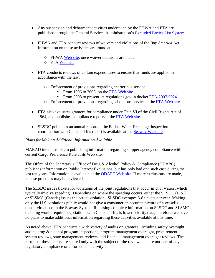- Any suspension and debarment activities undertaken by the FHWA and FTA are published through the General Services Administration's [Excluded Parties List System](https://www.epls.gov/).
- FHWA and FTA conduct reviews of waivers and violations of the *Buy America* Act. Information on these activities are found at:
	- o FHWA Web site, once waiver decisions are made.
	- o FTA [Web site](http://www.fta.dot.gov/laws/leg_reg_598.html).
- FTA conducts reviews of certain expenditures to ensure that funds are applied in accordance with the law:
	- o Enforcement of provisions regarding charter bus service
		- From 1996 to 2008, on the [FTA Web site](http://www.fta.dot.gov/laws/legislation/leg_reg_8807.html).
		- From 2008 to present, at regulations.gov in docket [FTA-2007-0024](http://www.regulations.gov/#!docketDetail;D=FTA-2007-0024).
	- o Enforcement of provisions regarding school bus service at the [FTA Web site](http://www.fta.dot.gov/laws/leg_reg_8724.html).
- FTA also evaluates grantees for compliance under Title VI of the Civil Rights Act of 1964, and publishes compliance reports at the [FTA Web site.](http://www.fta.dot.gov/civilrights/ada/civil_rights_3903.html)
- SLSDC publishes an annual report on the Ballast Water Exchange Inspection in coordination with Canada. This report is available at the [Seaway Web site](http://www.greatlakes-seaway.com/en/pdf/2010_BW_Rpt_EN.pdf)

#### *Plans for Making Additional Information Available*

MARAD intends to begin publishing information regarding shipper agency compliance with its current Cargo Preference Rule at its Web site.

The Office of the Secretary's Office of Drug & Alcohol Policy & Compliance (ODAPC) publishes information on Public Interest Exclusions, but has only had one such case during the last ten years. Information is available at the [ODAPC Web site.](http://www.dot.gov/ost/dapc/pie.html) If more exclusions are made, release practices may be reviewed.

The SLSDC issues tickets for violations of the joint regulations that occur in U.S. waters, which typically involve speeding. Depending on where the speeding occurs, either the SLSDC (U.S.) or SLSMC (Canada) issues the actual violation. SLSDC averages 6-8 tickets per year. Making only the U.S. violations public would not give a consumer an accurate picture of a vessel's transit violations in the Seaway System. Releasing complete information on SLSDC and SLSMC ticketing would require negotiations with Canada. This is lower priority data, therefore, we have no plans to make additional information regarding these activities available at this time.

As noted above, FTA conducts a wide variety of audits on grantees, including safety oversight audits, drug & alcohol program inspections, program management oversight, procurement system reviews, state management reviews, and financial management oversight reviews. The results of these audits are shared only with the subject of the review, and are not part of any regulatory compliance or enforcement activity.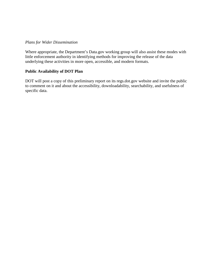#### *Plans for Wider Dissemination*

Where appropriate, the Department's Data.gov working group will also assist these modes with little enforcement authority in identifying methods for improving the release of the data underlying these activities in more open, accessible, and modern formats.

#### **Public Availability of DOT Plan**

DOT will post a copy of this preliminary report on its regs.dot.gov website and invite the public to comment on it and about the accessibility, downloadability, searchability, and usefulness of specific data.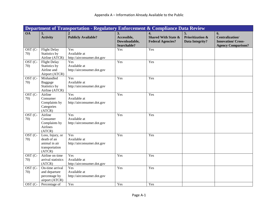|                             |                                                                              | Department of Transportation - Regulatory Enforcement & Compliance Data Review |                                                   |                                                                                |                                                             |                                                                                       |
|-----------------------------|------------------------------------------------------------------------------|--------------------------------------------------------------------------------|---------------------------------------------------|--------------------------------------------------------------------------------|-------------------------------------------------------------|---------------------------------------------------------------------------------------|
| <b>OA</b>                   | 1.<br><b>Activity</b>                                                        | <b>Publicly Available?</b>                                                     | 3.<br>Accessible,<br>Downloadable,<br>Searchable? | $\overline{4}$ .<br><b>Shared With State &amp;</b><br><b>Federal Agencies?</b> | 5.<br><b>Prioritization &amp;</b><br><b>Data Integrity?</b> | 6.<br><b>Centralization/</b><br><b>Innovation/Cross-</b><br><b>Agency Comparison?</b> |
| $\overline{O}ST$ (C-<br>70) | <b>Flight Delay</b><br>Statistics by<br>Airline (ATCR)                       | Yes<br>Available at<br>http://airconsumer.dot.gov                              | Yes                                               | Yes                                                                            |                                                             |                                                                                       |
| OST (C-<br>70)              | <b>Flight Delay</b><br>Statistics by<br>Airline and<br>Airport (ATCR)        | Yes<br>Available at<br>http://airconsumer.dot.gov                              | Yes                                               | Yes                                                                            |                                                             |                                                                                       |
| OST (C-<br>70)              | Mishandled<br>Baggage<br>Statistics by<br>Airline (ATCR)                     | Yes<br>Available at<br>http://airconsumer.dot.gov                              | Yes                                               | Yes                                                                            |                                                             |                                                                                       |
| OST (C-<br>70)              | Airline<br>Consumer<br>Complaints by<br>Categories<br>(ATCR)                 | Yes<br>Available at<br>http://airconsumer.dot.gov                              | Yes                                               | Yes                                                                            |                                                             |                                                                                       |
| OST (C-<br>70)              | Airline<br>Consumer<br>Complaints by<br>Airlines<br>(ATCR)                   | Yes<br>Available at<br>http://airconsumer.dot.gov                              | Yes                                               | Yes                                                                            |                                                             |                                                                                       |
| OST (C-<br>70)              | Loss, Injury, or<br>death of an<br>animal in air<br>transportation<br>(ATCR) | Yes<br>Available at<br>http://airconsumer.dot.gov                              | Yes                                               | Yes                                                                            |                                                             |                                                                                       |
| OST (C-<br>70)              | Airline on time<br>arrival statistics<br>(ATCR)                              | Yes<br>Available at<br>http://airconsumer.dot.gov                              | Yes                                               | Yes                                                                            |                                                             |                                                                                       |
| OST (C-<br>70)              | On-time arrival<br>and departure<br>percentage by<br>airport (ATCR)          | Yes<br>Available at<br>http://airconsumer.dot.gov                              | Yes                                               | Yes                                                                            |                                                             |                                                                                       |
| OST (C-                     | Percentage of                                                                | Yes                                                                            | Yes                                               | Yes                                                                            |                                                             |                                                                                       |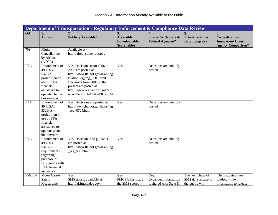|              |                                                                                                                                         | Department of Transportation - Regulatory Enforcement & Compliance Data Review                                                                                                                                                              |                                                   |                                                                                |                                                             |                                                                                       |
|--------------|-----------------------------------------------------------------------------------------------------------------------------------------|---------------------------------------------------------------------------------------------------------------------------------------------------------------------------------------------------------------------------------------------|---------------------------------------------------|--------------------------------------------------------------------------------|-------------------------------------------------------------|---------------------------------------------------------------------------------------|
| <b>OA</b>    | 1.<br><b>Activity</b>                                                                                                                   | <b>Publicly Available?</b>                                                                                                                                                                                                                  | 3.<br>Accessible,<br>Downloadable,<br>Searchable? | $\overline{4}$ .<br><b>Shared With State &amp;</b><br><b>Federal Agencies?</b> | 5.<br><b>Prioritization &amp;</b><br>Data Integrity?        | 6.<br><b>Centralization/</b><br><b>Innovation/Cross-</b><br><b>Agency Comparison?</b> |
| 70)          | Flight<br>Cancellations<br>by Airline<br>(ATCR)                                                                                         | Available at<br>http://airconsumer.dot.gov                                                                                                                                                                                                  |                                                   |                                                                                |                                                             |                                                                                       |
| <b>FTA</b>   | Enforcement of<br>49 U.S.C.<br>5323(d)<br>prohibition on<br>use of FTA<br>financial<br>assistance to<br>operate charter<br>bus services | Yes. Decisions from 1996 to<br>2008 are posted at<br>http://www.fta.dot.gov/laws/leg<br>islation/leg_reg_8807.html.<br>Decisions from 2008 to the<br>present are posted at<br>http://www.regulations.gov/#!d<br>ocketDetail;D=FTA-2007-0024 | Yes                                               | Decisions are publicly<br>posted.                                              |                                                             |                                                                                       |
| <b>FTA</b>   | Enforcement of<br>49 U.S.C.<br>5323(f)<br>prohibition on<br>use of FTA<br>financial<br>assistance to<br>operate school<br>bus services  | Yes. Decisions are posted at<br>http://www.fta.dot.gov/laws/leg<br>$reg_8724.html$                                                                                                                                                          | Yes                                               | Decisions are publicly<br>posted.                                              |                                                             |                                                                                       |
| <b>FTA</b>   | Enforcement of<br>49 U.S.C.<br>5323(j)<br>requirements<br>regarding<br>purchase of<br>U.S. goods with<br>FTA financial<br>assistance    | Yes. Decisions and guidance<br>are posted at<br>http://www.fta.dot.gov/laws/leg<br>$reg_598.html$                                                                                                                                           | Yes                                               | Decisions are publicly<br>posted.                                              |                                                             |                                                                                       |
| <b>FMCSA</b> | Motor Carrier<br>Safety<br>Measurement                                                                                                  | Yes.<br>SMS data is available at<br>http://ai.fmcsa.dot.gov.                                                                                                                                                                                | Yes.<br>FMCSA has made<br>the SMS scores          | Yes.<br><b>Expanded</b> information<br>is shared with State &                  | The next phase of<br>SMS data release to<br>the public will | Our next steps are<br>twofold --new<br>information to release                         |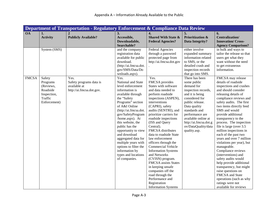|              | Department of Transportation - Regulatory Enforcement & Compliance Data Review        |                                                                             |                                                                                                                                                                                                                                                                                                                                                                                                                             |                                                                                                                                                                                                                                                                                                                                                                                                                                                                                                                                                                                                                |                                                                                                                                                                                                                                                                       |                                                                                                                                                                                                                                                                                                                                                                                                                                                                                                                                                                                                                                                                                              |  |  |
|--------------|---------------------------------------------------------------------------------------|-----------------------------------------------------------------------------|-----------------------------------------------------------------------------------------------------------------------------------------------------------------------------------------------------------------------------------------------------------------------------------------------------------------------------------------------------------------------------------------------------------------------------|----------------------------------------------------------------------------------------------------------------------------------------------------------------------------------------------------------------------------------------------------------------------------------------------------------------------------------------------------------------------------------------------------------------------------------------------------------------------------------------------------------------------------------------------------------------------------------------------------------------|-----------------------------------------------------------------------------------------------------------------------------------------------------------------------------------------------------------------------------------------------------------------------|----------------------------------------------------------------------------------------------------------------------------------------------------------------------------------------------------------------------------------------------------------------------------------------------------------------------------------------------------------------------------------------------------------------------------------------------------------------------------------------------------------------------------------------------------------------------------------------------------------------------------------------------------------------------------------------------|--|--|
| <b>OA</b>    | 1.<br><b>Activity</b>                                                                 | <b>Publicly Available?</b>                                                  | 3.<br>Accessible,<br>Downloadable,<br>Searchable?                                                                                                                                                                                                                                                                                                                                                                           | $\overline{\mathbf{4}}$ .<br><b>Shared With State &amp;</b><br><b>Federal Agencies?</b>                                                                                                                                                                                                                                                                                                                                                                                                                                                                                                                        | <b>Prioritization &amp;</b><br><b>Data Integrity?</b>                                                                                                                                                                                                                 | 6.<br><b>Centralization/</b><br><b>Innovation/Cross-</b><br><b>Agency Comparison?</b>                                                                                                                                                                                                                                                                                                                                                                                                                                                                                                                                                                                                        |  |  |
|              | System (SMS)                                                                          |                                                                             | and the company<br>registration data<br>available for public<br>download.<br>(http://ai.fmcsa.dot.<br>gov/SMS/Data/Do<br>wnloads.aspx).                                                                                                                                                                                                                                                                                     | <b>Federal Agencies</b><br>through a password<br>protected page from<br>http://ai.fmcsa.dot.gov                                                                                                                                                                                                                                                                                                                                                                                                                                                                                                                | either involve<br>expanded summary<br>information related<br>to SMS, or the<br>detailed crash and<br>inspection records<br>that go into SMS.                                                                                                                          | in bulk and ways to<br>tailor the release so that<br>users get what they<br>want without the need<br>to get extraneous<br>information.                                                                                                                                                                                                                                                                                                                                                                                                                                                                                                                                                       |  |  |
| <b>FMCSA</b> | Safety<br>Programs<br>(Reviews,<br>Roadside<br>Inspection,<br>Traffic<br>Enforcement) | Yes.<br>Safety programs data is<br>available at<br>http://ai.fmcsa.dot.gov. | Yes.<br>National and State<br>level enforcement<br>information is<br>available through<br>the "Safety<br>Programs" section<br>of A&I Online<br>(http://ai.fmcsa.dot.<br>gov/SafetyProgram<br>/home.aspx). At<br>this website, the<br>public has the<br>opportunity to view<br>and download<br>aggregated data for<br>multiple years with<br>options to filter the<br>information by<br>types and locations<br>of companies. | Yes.<br>FMCSA provides<br>States with software<br>and data needed to<br>perform roadside<br>inspections (ASPEN),<br>interventions<br>(CAPRI), safety<br>audits (SENTRI), and<br>prioritize carriers for<br>roadside inspections<br>(ISS and Query<br>Central).<br>FMCSA distributes<br>data to roadside State<br>law enforcement<br>officers through the<br><b>Commercial Vehicle</b><br><b>Information Systems</b><br>and Networks<br>(CVISN) program.<br>FMCSA assists States<br>in keeping unsafe<br>companies off the<br>road through the<br>Performance and<br>Registration<br><b>Information Systems</b> | There has been<br>some public<br>demand for<br>inspection records,<br>and it is being<br>considered for<br>public release.<br>Data quality<br>standards and<br>performance are<br>available online at<br>http://ai.fmcsa.dot.g<br>ov/DataQuality/data<br>quality.asp. | FMCSA may release<br>details of roadside<br>inspections and crashes<br>and should consider<br>releasing details of<br>compliance reviews and<br>safety audits. The first<br>two items directly feed<br>SMS and would<br>provide additional<br>transparency to the<br>process. The inspection<br>file is large (over 3.5<br>million inspections in<br>each of the past two<br>years and over 7 million<br>violations per year), but<br>manageable.<br>Compliance reviews<br>(interventions) and<br>safety audits would<br>help provide additional<br>transparency, but might<br>raise questions on<br>FMCSA and State<br>operations (such as why<br>ratings were not<br>available for reviews |  |  |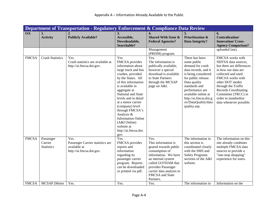|              | Department of Transportation - Regulatory Enforcement & Compliance Data Review |                                                                                      |                                                                                                                                                                                                                                                                                                                                                                                            |                                                                                                                                                                                                                                     |                                                                                                                                                                                                                                                                    |                                                                                                                                                                                                                                                                                           |  |  |
|--------------|--------------------------------------------------------------------------------|--------------------------------------------------------------------------------------|--------------------------------------------------------------------------------------------------------------------------------------------------------------------------------------------------------------------------------------------------------------------------------------------------------------------------------------------------------------------------------------------|-------------------------------------------------------------------------------------------------------------------------------------------------------------------------------------------------------------------------------------|--------------------------------------------------------------------------------------------------------------------------------------------------------------------------------------------------------------------------------------------------------------------|-------------------------------------------------------------------------------------------------------------------------------------------------------------------------------------------------------------------------------------------------------------------------------------------|--|--|
| <b>OA</b>    | 1.<br><b>Activity</b>                                                          | <b>Publicly Available?</b>                                                           | 3.<br>Accessible,<br>Downloadable,<br>Searchable?                                                                                                                                                                                                                                                                                                                                          | 4.<br><b>Shared With State &amp;</b><br><b>Federal Agencies?</b>                                                                                                                                                                    | 5.<br><b>Prioritization &amp;</b><br><b>Data Integrity?</b>                                                                                                                                                                                                        | 6.<br>Centralization/<br><b>Innovation/Cross-</b><br><b>Agency Comparison?</b>                                                                                                                                                                                                            |  |  |
|              |                                                                                |                                                                                      |                                                                                                                                                                                                                                                                                                                                                                                            | Management<br>(PRISM) program.                                                                                                                                                                                                      |                                                                                                                                                                                                                                                                    | uploaded late).                                                                                                                                                                                                                                                                           |  |  |
| <b>FMCSA</b> | <b>Crash Statistics</b>                                                        | Yes.<br>Crash statistics are available at<br>http://ai.fmcsa.dot.gov.                | Yes.<br>FMCSA provides<br>information about<br>large truck and bus<br>crashes, provided<br>by the States. All<br>of this information<br>is available in<br>aggregate at<br>National and State<br>levels and in detail<br>at a motor carrier<br>(company) level<br>through FMCSA's<br>Analysis &<br><b>Information Online</b><br>(A&I Online)<br>website at<br>http://ai.fmcsa.dot.<br>gov. | Yes.<br>The information is<br>publically available,<br>however a special<br>download is available<br>to State Partners<br>through the MCSAP<br>page on A&I.                                                                         | There has been<br>some public<br>demand for crash<br>data records, and it<br>is being considered<br>for public release.<br>Data quality<br>standards and<br>performance are<br>available online at<br>http://ai.fmcsa.dot.g<br>ov/DataQuality/data<br>quality.asp. | FMCSA works with<br>NHTSA data sources,<br>but there are differences<br>in how our data are<br>collected and used.<br>FMCSA works with<br>other DOT modes<br>through the Traffic<br><b>Records Coordinating</b><br>Committee (TRCC) in<br>order to standardize<br>data whenever possible. |  |  |
| <b>FMCSA</b> | Passenger<br>Carrier<br><b>Statistics</b>                                      | Yes.<br>Passenger Carrier statistics are<br>available at<br>http://ai.fmcsa.dot.gov. | Yes.<br>FMCSA provides<br>reports and<br>information<br>regarding its<br>passenger carrier<br>program. Reports<br>can be downloaded<br>or printed via pdf.                                                                                                                                                                                                                                 | Yes.<br>This information is<br>geared towards public<br>consumption of<br>information. We have<br>an internal system<br>called GOTHAM that<br>provides Passenger<br>carrier data analysis to<br><b>FMCSA</b> and State<br>Partners. | The information in<br>this section is<br>coordinated closely<br>with the SMS and<br><b>Safety Programs</b><br>sections of the A&I<br>website.                                                                                                                      | The information on this<br>site already combines<br>multiple FMCSA data<br>sources to provide a<br>"one-stop shopping"<br>experience for users.                                                                                                                                           |  |  |
| <b>FMCSA</b> | MCSAP (Motor                                                                   | Yes.                                                                                 | Yes.                                                                                                                                                                                                                                                                                                                                                                                       | Yes.                                                                                                                                                                                                                                | The information in                                                                                                                                                                                                                                                 | Information on the                                                                                                                                                                                                                                                                        |  |  |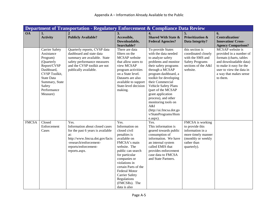|              |                                                                                                                                                                                                | Department of Transportation - Regulatory Enforcement & Compliance Data Review                                                                                                          |                                                                                                                                                                                                                                                                                                  |                                                                                                                                                                                                                                                                                                                                                                                                |                                                                                                                                   |                                                                                                                                                                                               |
|--------------|------------------------------------------------------------------------------------------------------------------------------------------------------------------------------------------------|-----------------------------------------------------------------------------------------------------------------------------------------------------------------------------------------|--------------------------------------------------------------------------------------------------------------------------------------------------------------------------------------------------------------------------------------------------------------------------------------------------|------------------------------------------------------------------------------------------------------------------------------------------------------------------------------------------------------------------------------------------------------------------------------------------------------------------------------------------------------------------------------------------------|-----------------------------------------------------------------------------------------------------------------------------------|-----------------------------------------------------------------------------------------------------------------------------------------------------------------------------------------------|
| <b>OA</b>    | 1.<br><b>Activity</b>                                                                                                                                                                          | <b>Publicly Available?</b>                                                                                                                                                              | 3.<br>Accessible,                                                                                                                                                                                                                                                                                | $\overline{4}$ .<br><b>Shared With State &amp;</b>                                                                                                                                                                                                                                                                                                                                             | 5.<br><b>Prioritization &amp;</b>                                                                                                 | 6.<br>Centralization/                                                                                                                                                                         |
|              |                                                                                                                                                                                                |                                                                                                                                                                                         | Downloadable,<br>Searchable?                                                                                                                                                                                                                                                                     | <b>Federal Agencies?</b>                                                                                                                                                                                                                                                                                                                                                                       | <b>Data Integrity?</b>                                                                                                            | <b>Innovation/Cross-</b><br><b>Agency Comparison?</b>                                                                                                                                         |
|              | <b>Carrier Safety</b><br>Assistance<br>Program)<br>(Quarterly<br>Report/CVSP<br>Dashboard,<br><b>CVSP</b> Toolkit,<br><b>State Data</b><br>Summary, State<br>Safety<br>Performance<br>Measure) | Quarterly reports, CVSP data<br>dashboard and state data<br>summary are available. State<br>safety performance measures<br>and the CVSP toolkit are not<br>publically available.        | There are data<br>filters on the<br>MCSAP website<br>that allow users to<br>view MCSAP<br>program activities<br>on a State level.<br>Datasets are also<br>available to support<br>State-level decision<br>making.                                                                                | To provide States<br>with the data needed<br>to analyze safety<br>problems and monitor<br>their safety programs<br>through a MCSAP<br>program dashboard, a<br>toolkit for developing<br>their Commercial<br>Vehicle Safety Plans<br>(part of the MCSAP<br>grant application<br>process), and other<br>monitoring tools on<br>A&I<br>(http://ai.fmcsa.dot.go<br>v/StatePrograms/Hom<br>e.aspx). | this section is<br>coordinated closely<br>with the SMS and<br><b>Safety Programs</b><br>sections of the A&I<br>website.           | MCSAP website is<br>provided in a number of<br>formats (charts, tables<br>and downloadable data)<br>to make it easy for the<br>user to view the data in<br>a way that makes sense<br>to them. |
| <b>FMCSA</b> | Closed<br>Enforcement<br>Cases                                                                                                                                                                 | Yes.<br>Information about closed cases<br>for the past 6 years is available<br>at:<br>http://www.fmcsa.dot.gov/facts<br>-research/enforcement-<br>reports/enforcement-<br>reports.aspx. | Yes.<br>Information on<br>closed civil<br>penalties is<br>available on<br>FMCSA's main<br>website. The<br>public can search<br>for particular<br>companies or<br>violations in<br>certain Parts of the<br>Federal Motor<br><b>Carrier Safety</b><br>Regulations<br>(FMCSRs). The<br>data is also | Yes.<br>This information is<br>geared towards public<br>consumption of<br>information. We have<br>an internal system<br>called EMIS that<br>provides enforcement<br>case data to FMCSA<br>and State Partners.                                                                                                                                                                                  | FMCSA is working<br>to provide this<br>information in a<br>more timely manner<br>(monthly or weekly<br>rather than<br>quarterly). |                                                                                                                                                                                               |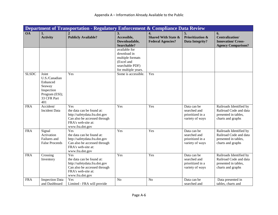|              |                                                                                                    | Department of Transportation - Regulatory Enforcement & Compliance Data Review                                                             |                                                                                                          |                                                                                |                                                                    |                                                                                                |
|--------------|----------------------------------------------------------------------------------------------------|--------------------------------------------------------------------------------------------------------------------------------------------|----------------------------------------------------------------------------------------------------------|--------------------------------------------------------------------------------|--------------------------------------------------------------------|------------------------------------------------------------------------------------------------|
| <b>OA</b>    | 1.<br><b>Activity</b>                                                                              | <b>Publicly Available?</b>                                                                                                                 | 3.<br>Accessible,<br>Downloadable,<br>Searchable?                                                        | $\overline{4}$ .<br><b>Shared With State &amp;</b><br><b>Federal Agencies?</b> | 5.<br><b>Prioritization &amp;</b><br>Data Integrity?               | 6.<br><b>Centralization</b> /<br><b>Innovation/Cross-</b><br><b>Agency Comparison?</b>         |
|              |                                                                                                    |                                                                                                                                            | available for<br>download in<br>multiple formats<br>(Excel and<br>searchable PDF)<br>for multiple years. |                                                                                |                                                                    |                                                                                                |
| <b>SLSDC</b> | Joint<br>U.S./Canadian<br>Enhanced<br>Seaway<br>Inspection<br>Program (ESI);<br>33 CFR Part<br>401 | Yes                                                                                                                                        | Some is accessible.                                                                                      | Yes                                                                            |                                                                    |                                                                                                |
| <b>FRA</b>   | Accident/<br><b>Incident Data</b>                                                                  | Yes<br>the data can be found at:<br>http://safetydata.fra.dot.gov<br>Can also be accessed through<br>FRA's web-site at:<br>www.fra.dot.gov | Yes                                                                                                      | Yes                                                                            | Data can be<br>searched and<br>prioritized in a<br>variety of ways | Railroads Identified by<br>Railroad Code and data<br>presented in tables,<br>charts and graphs |
| <b>FRA</b>   | Signal<br>Activation<br>Failures and<br><b>False Proceeds</b>                                      | Yes<br>the data can be found at:<br>http://safetydata.fra.dot.gov<br>Can also be accessed through<br>FRA's web-site at:<br>www.fra.dot.gov | Yes                                                                                                      | Yes                                                                            | Data can be<br>searched and<br>prioritized in a<br>variety of ways | Railroads Identified by<br>Railroad Code and data<br>presented in tables,<br>charts and graphs |
| <b>FRA</b>   | Crossing<br>Inventory                                                                              | Yes<br>the data can be found at:<br>http://safetydata.fra.dot.gov<br>Can also be accessed through<br>FRA's web-site at:<br>www.fra.dot.gov | Yes                                                                                                      | Yes                                                                            | Data can be<br>searched and<br>prioritized in a<br>variety of ways | Railroads Identified by<br>Railroad Code and data<br>presented in tables,<br>charts and graphs |
| <b>FRA</b>   | <b>Inspection Data</b><br>and Dashboard                                                            | Yes<br>Limited - FRA will provide                                                                                                          | N <sub>o</sub>                                                                                           | N <sub>o</sub>                                                                 | Data can be<br>searched and                                        | Data presented in<br>tables, charts and                                                        |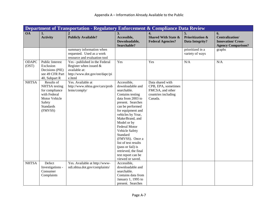|                       | Department of Transportation - Regulatory Enforcement & Compliance Data Review                                          |                                                                                                                          |                                                                                                                                                                                                                                                                                                                                                                                                      |                                                                                               |                                                      |                                                                                       |  |  |
|-----------------------|-------------------------------------------------------------------------------------------------------------------------|--------------------------------------------------------------------------------------------------------------------------|------------------------------------------------------------------------------------------------------------------------------------------------------------------------------------------------------------------------------------------------------------------------------------------------------------------------------------------------------------------------------------------------------|-----------------------------------------------------------------------------------------------|------------------------------------------------------|---------------------------------------------------------------------------------------|--|--|
| <b>OA</b>             | 1.<br><b>Activity</b>                                                                                                   | <b>Publicly Available?</b>                                                                                               | 3.<br>Accessible,<br>Downloadable,<br>Searchable?                                                                                                                                                                                                                                                                                                                                                    | 4.<br><b>Shared With State &amp;</b><br><b>Federal Agencies?</b>                              | 5.<br><b>Prioritization &amp;</b><br>Data Integrity? | 6.<br><b>Centralization/</b><br><b>Innovation/Cross-</b><br><b>Agency Comparison?</b> |  |  |
|                       |                                                                                                                         | summary information when<br>requested. Used as a work<br>resource and evaluation tool                                    |                                                                                                                                                                                                                                                                                                                                                                                                      |                                                                                               | prioritized in a<br>variety of ways                  | graphs                                                                                |  |  |
| <b>ODAPC</b><br>(OST) | Public Interest<br>Exclusion<br>Decisions (PIE)<br>see 49 CFR Part<br>40, Subpart R                                     | Yes - published in the Federal<br>Register when issued $\&$<br>available at:<br>http://www.dot.gov/ost/dapc/pi<br>e.html | Yes                                                                                                                                                                                                                                                                                                                                                                                                  | Yes                                                                                           | N/A                                                  | N/A                                                                                   |  |  |
| <b>NHTSA</b>          | Results of<br>NHTSA testing<br>for compliance<br>with Federal<br>Motor Vehicle<br>Safety<br><b>Standards</b><br>(FMVSS) | Yes. Available at<br>http://www.nhtsa.gov/cars/prob<br>lems/comply/                                                      | Accessible,<br>downloadable and<br>searchable.<br>Contains testing<br>data from 2003 to<br>present. Searches<br>can be performed<br>for equipment and<br>vehicles by Year,<br>Make/Brand, and<br>Model or by<br><b>Federal Motor</b><br>Vehicle Safety<br>Standard<br>(FMVSS). Once a<br>list of test results<br>(pass or fail) is<br>retrieved, the final<br>test report can be<br>viewed or saved. | Data shared with<br>CPB, EPA, sometimes<br>FMCSA, and other<br>countries including<br>Canada. |                                                      |                                                                                       |  |  |
| <b>NHTSA</b>          | Defect<br>Investigations -<br>Consumer<br>Complaints                                                                    | Yes. Available at http://www-<br>odi.nhtsa.dot.gov/complaints/                                                           | Accessible,<br>downloadable and<br>searchable.<br>Contains data from<br>January 1, 1995 to<br>present. Searches                                                                                                                                                                                                                                                                                      |                                                                                               |                                                      |                                                                                       |  |  |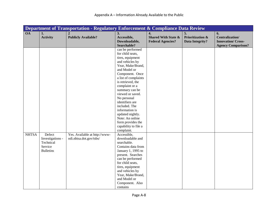|              | Department of Transportation - Regulatory Enforcement & Compliance Data Review |                               |                           |                                |                             |                           |  |
|--------------|--------------------------------------------------------------------------------|-------------------------------|---------------------------|--------------------------------|-----------------------------|---------------------------|--|
| <b>OA</b>    | 1.                                                                             | $\overline{2}$                | 3.                        | $\overline{4}$ .               | 5.                          | 6.                        |  |
|              | <b>Activity</b>                                                                | <b>Publicly Available?</b>    | Accessible,               | <b>Shared With State &amp;</b> | <b>Prioritization &amp;</b> | Centralization/           |  |
|              |                                                                                |                               | Downloadable,             | <b>Federal Agencies?</b>       | Data Integrity?             | <b>Innovation/Cross-</b>  |  |
|              |                                                                                |                               | Searchable?               |                                |                             | <b>Agency Comparison?</b> |  |
|              |                                                                                |                               | can be performed          |                                |                             |                           |  |
|              |                                                                                |                               | for child seats,          |                                |                             |                           |  |
|              |                                                                                |                               | tires, equipment          |                                |                             |                           |  |
|              |                                                                                |                               | and vehicles by           |                                |                             |                           |  |
|              |                                                                                |                               | Year, Make/Brand,         |                                |                             |                           |  |
|              |                                                                                |                               | and Model or              |                                |                             |                           |  |
|              |                                                                                |                               | Component. Once           |                                |                             |                           |  |
|              |                                                                                |                               | a list of complaints      |                                |                             |                           |  |
|              |                                                                                |                               | is retrieved, the         |                                |                             |                           |  |
|              |                                                                                |                               | complaint or a            |                                |                             |                           |  |
|              |                                                                                |                               | summary can be            |                                |                             |                           |  |
|              |                                                                                |                               | viewed or saved.          |                                |                             |                           |  |
|              |                                                                                |                               | No personal               |                                |                             |                           |  |
|              |                                                                                |                               | identifiers are           |                                |                             |                           |  |
|              |                                                                                |                               | included. The             |                                |                             |                           |  |
|              |                                                                                |                               | information is            |                                |                             |                           |  |
|              |                                                                                |                               | updated nightly.          |                                |                             |                           |  |
|              |                                                                                |                               | Note: An online           |                                |                             |                           |  |
|              |                                                                                |                               | form provides the         |                                |                             |                           |  |
|              |                                                                                |                               | capability to file a      |                                |                             |                           |  |
| <b>NHTSA</b> | Defect                                                                         | Yes. Available at http://www- | complaint.<br>Accessible, |                                |                             |                           |  |
|              | Investigations -                                                               | odi.nhtsa.dot.gov/tsbs/       | downloadable and          |                                |                             |                           |  |
|              | Technical                                                                      |                               | searchable.               |                                |                             |                           |  |
|              | Service                                                                        |                               | Contains data from        |                                |                             |                           |  |
|              | <b>Bulletins</b>                                                               |                               | January 1, 1995 to        |                                |                             |                           |  |
|              |                                                                                |                               | present. Searches         |                                |                             |                           |  |
|              |                                                                                |                               | can be performed          |                                |                             |                           |  |
|              |                                                                                |                               | for child seats,          |                                |                             |                           |  |
|              |                                                                                |                               | tires, equipment          |                                |                             |                           |  |
|              |                                                                                |                               | and vehicles by           |                                |                             |                           |  |
|              |                                                                                |                               | Year, Make/Brand,         |                                |                             |                           |  |
|              |                                                                                |                               | and Model or              |                                |                             |                           |  |
|              |                                                                                |                               | Component. Also           |                                |                             |                           |  |
|              |                                                                                |                               | contains                  |                                |                             |                           |  |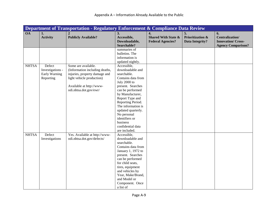|              | <b>Department of Transportation - Regulatory Enforcement &amp; Compliance Data Review</b> |                                                                                                                                                                           |                                                                                                                                                                                                                                                                                                                          |                                                                  |                                                      |                                                                                       |  |  |
|--------------|-------------------------------------------------------------------------------------------|---------------------------------------------------------------------------------------------------------------------------------------------------------------------------|--------------------------------------------------------------------------------------------------------------------------------------------------------------------------------------------------------------------------------------------------------------------------------------------------------------------------|------------------------------------------------------------------|------------------------------------------------------|---------------------------------------------------------------------------------------|--|--|
| <b>OA</b>    | 1.<br><b>Activity</b>                                                                     | $\overline{2}$<br><b>Publicly Available?</b>                                                                                                                              | 3.<br>Accessible,<br>Downloadable,<br>Searchable?                                                                                                                                                                                                                                                                        | 4.<br><b>Shared With State &amp;</b><br><b>Federal Agencies?</b> | 5.<br><b>Prioritization &amp;</b><br>Data Integrity? | 6.<br><b>Centralization/</b><br><b>Innovation/Cross-</b><br><b>Agency Comparison?</b> |  |  |
|              |                                                                                           |                                                                                                                                                                           | summaries of<br>bulletins. The<br>information is<br>updated nightly.                                                                                                                                                                                                                                                     |                                                                  |                                                      |                                                                                       |  |  |
| <b>NHTSA</b> | Defect<br>Investigations -<br>Early Warning<br>Reporting                                  | Some are available.<br>(Information including deaths,<br>injuries, property damage and<br>light vehicle production)<br>Available at http://www-<br>odi.nhtsa.dot.gov/ewr/ | Accessible,<br>downloadable and<br>searchable.<br>Contains data from<br>July 2000 to<br>present. Searches<br>can be performed<br>by Manufacturer,<br>Report Type and<br>Reporting Period.<br>The information is<br>updated quarterly.<br>No personal<br>identifiers or<br>business<br>confidential data<br>are included. |                                                                  |                                                      |                                                                                       |  |  |
| <b>NHTSA</b> | Defect<br>Investigations                                                                  | Yes. Available at http://www-<br>odi.nhtsa.dot.gov/defects/                                                                                                               | Accessible,<br>downloadable and<br>searchable.<br>Contains data from<br>January 1, 1972 to<br>present. Searches<br>can be performed<br>for child seats,<br>tires, equipment<br>and vehicles by<br>Year, Make/Brand,<br>and Model or<br>Component. Once<br>a list of                                                      |                                                                  |                                                      |                                                                                       |  |  |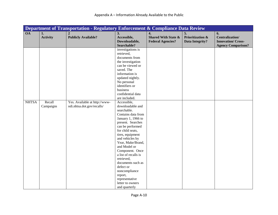|              | Department of Transportation - Regulatory Enforcement & Compliance Data Review |                               |                                         |                                |                             |                           |  |  |
|--------------|--------------------------------------------------------------------------------|-------------------------------|-----------------------------------------|--------------------------------|-----------------------------|---------------------------|--|--|
| <b>OA</b>    | 1.                                                                             | $\overline{2}$                | 3.                                      | $\overline{4}$ .               | 5.                          | 6.                        |  |  |
|              | <b>Activity</b>                                                                | <b>Publicly Available?</b>    | Accessible,                             | <b>Shared With State &amp;</b> | <b>Prioritization &amp;</b> | Centralization/           |  |  |
|              |                                                                                |                               | Downloadable,                           | <b>Federal Agencies?</b>       | <b>Data Integrity?</b>      | <b>Innovation/Cross-</b>  |  |  |
|              |                                                                                |                               | Searchable?                             |                                |                             | <b>Agency Comparison?</b> |  |  |
|              |                                                                                |                               | investigations is                       |                                |                             |                           |  |  |
|              |                                                                                |                               | retrieved,                              |                                |                             |                           |  |  |
|              |                                                                                |                               | documents from                          |                                |                             |                           |  |  |
|              |                                                                                |                               | the investigation                       |                                |                             |                           |  |  |
|              |                                                                                |                               | can be viewed or                        |                                |                             |                           |  |  |
|              |                                                                                |                               | saved. The                              |                                |                             |                           |  |  |
|              |                                                                                |                               | information is                          |                                |                             |                           |  |  |
|              |                                                                                |                               | updated nightly.                        |                                |                             |                           |  |  |
|              |                                                                                |                               | No personal                             |                                |                             |                           |  |  |
|              |                                                                                |                               | identifiers or                          |                                |                             |                           |  |  |
|              |                                                                                |                               | business                                |                                |                             |                           |  |  |
|              |                                                                                |                               | confidential data                       |                                |                             |                           |  |  |
|              |                                                                                |                               | are included.                           |                                |                             |                           |  |  |
| <b>NHTSA</b> | Recall                                                                         | Yes. Available at http://www- | Accessible,                             |                                |                             |                           |  |  |
|              | Campaigns                                                                      | odi.nhtsa.dot.gov/recalls/    | downloadable and                        |                                |                             |                           |  |  |
|              |                                                                                |                               | searchable.                             |                                |                             |                           |  |  |
|              |                                                                                |                               | Contains data from                      |                                |                             |                           |  |  |
|              |                                                                                |                               | January 1, 1966 to                      |                                |                             |                           |  |  |
|              |                                                                                |                               | present. Searches                       |                                |                             |                           |  |  |
|              |                                                                                |                               | can be performed                        |                                |                             |                           |  |  |
|              |                                                                                |                               | for child seats,                        |                                |                             |                           |  |  |
|              |                                                                                |                               | tires, equipment                        |                                |                             |                           |  |  |
|              |                                                                                |                               | and vehicles by                         |                                |                             |                           |  |  |
|              |                                                                                |                               | Year, Make/Brand,<br>and Model or       |                                |                             |                           |  |  |
|              |                                                                                |                               |                                         |                                |                             |                           |  |  |
|              |                                                                                |                               | Component. Once<br>a list of recalls is |                                |                             |                           |  |  |
|              |                                                                                |                               | retrieved,                              |                                |                             |                           |  |  |
|              |                                                                                |                               | documents such as                       |                                |                             |                           |  |  |
|              |                                                                                |                               | defect or                               |                                |                             |                           |  |  |
|              |                                                                                |                               | noncompliance                           |                                |                             |                           |  |  |
|              |                                                                                |                               | report,                                 |                                |                             |                           |  |  |
|              |                                                                                |                               | representative                          |                                |                             |                           |  |  |
|              |                                                                                |                               | letter to owners                        |                                |                             |                           |  |  |
|              |                                                                                |                               | and quarterly                           |                                |                             |                           |  |  |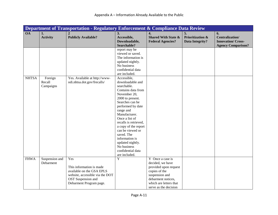|              |                                | <b>Department of Transportation - Regulatory Enforcement &amp; Compliance Data Review</b>                                                        |                                                                                                                                                                                                                                                                                                                                                                                |                                                                                                                                                                           |                                                             |                                                                                       |
|--------------|--------------------------------|--------------------------------------------------------------------------------------------------------------------------------------------------|--------------------------------------------------------------------------------------------------------------------------------------------------------------------------------------------------------------------------------------------------------------------------------------------------------------------------------------------------------------------------------|---------------------------------------------------------------------------------------------------------------------------------------------------------------------------|-------------------------------------------------------------|---------------------------------------------------------------------------------------|
| <b>OA</b>    | 1.<br><b>Activity</b>          | <b>Publicly Available?</b>                                                                                                                       | 3.<br>Accessible,<br>Downloadable,<br>Searchable?                                                                                                                                                                                                                                                                                                                              | 4.<br><b>Shared With State &amp;</b><br><b>Federal Agencies?</b>                                                                                                          | 5.<br><b>Prioritization &amp;</b><br><b>Data Integrity?</b> | 6.<br><b>Centralization/</b><br><b>Innovation/Cross-</b><br><b>Agency Comparison?</b> |
|              |                                |                                                                                                                                                  | report may be<br>viewed or saved.<br>The information is<br>updated nightly.<br>No business<br>confidential data<br>are included.                                                                                                                                                                                                                                               |                                                                                                                                                                           |                                                             |                                                                                       |
| <b>NHTSA</b> | Foreign<br>Recall<br>Campaigns | Yes. Available at http://www-<br>odi.nhtsa.dot.gov/frecalls/                                                                                     | Accessible,<br>downloadable and<br>searchable.<br>Contains data from<br>November 20,<br>2000 to present.<br>Searches can be<br>performed by date<br>range and<br>Manufacturer.<br>Once a list of<br>recalls is retrieved,<br>a copy of the report<br>can be viewed or<br>saved. The<br>information is<br>updated nightly.<br>No business<br>confidential data<br>are included. |                                                                                                                                                                           |                                                             |                                                                                       |
| <b>FHWA</b>  | Suspension and<br>Debarment    | Yes<br>This information is made<br>available on the GSA EPLS<br>website, accessible via the DOT<br>OST Suspension and<br>Debarment Program page. | Y                                                                                                                                                                                                                                                                                                                                                                              | Y Once a case is<br>decided, we have<br>provided upon request<br>copies of the<br>suspension and<br>debarment notices,<br>which are letters that<br>serve as the decision |                                                             |                                                                                       |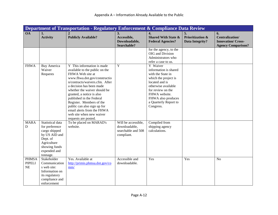|                                     |                                                                                                                                              | Department of Transportation - Regulatory Enforcement & Compliance Data Review                                                                                                                                                                                                                                                                                                                                       |                                                                          |                                                                                                                                                                                                                           |                                                      |                                                                                       |
|-------------------------------------|----------------------------------------------------------------------------------------------------------------------------------------------|----------------------------------------------------------------------------------------------------------------------------------------------------------------------------------------------------------------------------------------------------------------------------------------------------------------------------------------------------------------------------------------------------------------------|--------------------------------------------------------------------------|---------------------------------------------------------------------------------------------------------------------------------------------------------------------------------------------------------------------------|------------------------------------------------------|---------------------------------------------------------------------------------------|
| <b>OA</b>                           | 1.<br><b>Activity</b>                                                                                                                        | <b>Publicly Available?</b>                                                                                                                                                                                                                                                                                                                                                                                           | 3.<br>Accessible,<br>Downloadable,<br>Searchable?                        | $\overline{4}$ .<br><b>Shared With State &amp;</b><br><b>Federal Agencies?</b>                                                                                                                                            | 5.<br><b>Prioritization &amp;</b><br>Data Integrity? | 6.<br><b>Centralization/</b><br><b>Innovation/Cross-</b><br><b>Agency Comparison?</b> |
|                                     |                                                                                                                                              |                                                                                                                                                                                                                                                                                                                                                                                                                      |                                                                          | for the agency, to the<br>OIG and Division<br>Administrators who<br>refer a case to us.                                                                                                                                   |                                                      |                                                                                       |
| <b>FHWA</b>                         | <b>Buy America</b><br>Waiver<br>Requests                                                                                                     | Y This information is made<br>available to the public on the<br>FHWA Web site at<br>www.fhwa.dot.gov/constructio<br>n/contracts/waivers.cfm. After<br>a decision has been made<br>whether the waiver should be<br>granted, a notice is also<br>published in the Federal<br>Register. Members of the<br>public can also sign up for<br>email alerts from the FHWA<br>web site when new waiver<br>requests are posted. | $\overline{Y}$                                                           | Y Waiver<br>information is shared<br>with the State in<br>which the project is<br>located and is<br>otherwise available<br>for review on the<br>FHWA website.<br>FHWA also produces<br>a Quarterly Report to<br>Congress. |                                                      |                                                                                       |
| <b>MARA</b><br>$\mathbf D$          | Statistical data<br>for preference<br>cargo shipped<br>by US AID and<br>Dept. of<br>Agriculture<br>showing funds<br>expended and<br>tonnage. | To be placed on MARAD's<br>website.                                                                                                                                                                                                                                                                                                                                                                                  | Will be accessible,<br>downloadable,<br>searchable and 508<br>compliant. | Compiled from<br>shipping agency<br>calculations.                                                                                                                                                                         |                                                      |                                                                                       |
| <b>PHMSA</b><br><b>PIPELI</b><br>NE | Stakeholder<br>Communication<br>s web site:<br>Information on<br>its regulatory<br>compliance and<br>enforcement                             | Yes. Available at<br>http://primis.phmsa.dot.gov/co<br>mm/                                                                                                                                                                                                                                                                                                                                                           | Accessible and<br>downloadable.                                          | Yes                                                                                                                                                                                                                       | Yes                                                  | N <sub>o</sub>                                                                        |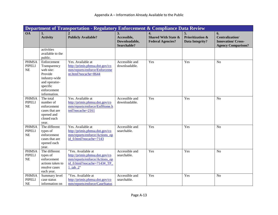|                                            | Department of Transportation - Regulatory Enforcement & Compliance Data Review                                                   |                                                                                                                                    |                                                   |                                                                  |                                                |                                                                                       |  |  |  |
|--------------------------------------------|----------------------------------------------------------------------------------------------------------------------------------|------------------------------------------------------------------------------------------------------------------------------------|---------------------------------------------------|------------------------------------------------------------------|------------------------------------------------|---------------------------------------------------------------------------------------|--|--|--|
| <b>OA</b>                                  | 1.<br><b>Activity</b>                                                                                                            | <b>Publicly Available?</b>                                                                                                         | 3.<br>Accessible,<br>Downloadable,<br>Searchable? | 4.<br><b>Shared With State &amp;</b><br><b>Federal Agencies?</b> | <b>Prioritization &amp;</b><br>Data Integrity? | 6.<br><b>Centralization/</b><br><b>Innovation/Cross-</b><br><b>Agency Comparison?</b> |  |  |  |
|                                            | activities<br>available to the<br>public.                                                                                        |                                                                                                                                    |                                                   |                                                                  |                                                |                                                                                       |  |  |  |
| <b>PHMSA</b><br><b>PIPELI</b><br>NE        | Enforcement<br>Transparency<br>web site:<br>Provide<br>industry-wide<br>and operator-<br>specific<br>enforcement<br>information. | Yes. Available at<br>http://primis.phmsa.dot.gov/co<br>mm/reports/enforce/Enforceme<br>nt.html?nocache=8644                        | Accessible and<br>downloadable.                   | Yes                                                              | Yes                                            | N <sub>o</sub>                                                                        |  |  |  |
| <b>PHMSA</b><br><b>PIPELI</b><br>NE        | The total<br>number of<br>enforcement<br>cases that are<br>opened and<br>closed each<br>year.                                    | Yes. Available at<br>http://primis.phmsa.dot.gov/co<br>mm/reports/enforce/EnfHome.h<br>tml?nocache=2161                            | Accessible and<br>downloadable.                   | Yes                                                              | Yes                                            | N <sub>o</sub>                                                                        |  |  |  |
| <b>PHMSA</b><br><b>PIPELI</b><br>NE        | The different<br>types of<br>enforcement<br>cases that are<br>opened each<br>year.                                               | Yes. Available at<br>http://primis.phmsa.dot.gov/co<br>mm/reports/enforce/Actions op<br>id 0.html?nocache=7143                     | Accessible and<br>searchable.                     | Yes                                                              | Yes                                            | N <sub>o</sub>                                                                        |  |  |  |
| <b>PHMSA</b><br><b>PIPELI</b><br>NE        | The different<br>types of<br>enforcement<br>actions taken to<br>resolve cases<br>each year.                                      | "Yes. Available at<br>http://primis.phmsa.dot.gov/co<br>mm/reports/enforce/Actions op<br>id 0.html?nocache=7143# TP<br>$1$ _tab_2" | Accessible and<br>searchable.                     | Yes                                                              | Yes                                            | N <sub>o</sub>                                                                        |  |  |  |
| <b>PHMSA</b><br><b>PIPELI</b><br><b>NE</b> | Summary level<br>case status<br>information on                                                                                   | "Yes. Available at<br>http://primis.phmsa.dot.gov/co<br>mm/reports/enforce/CaseStatus                                              | Accessible and<br>searchable.                     | Yes                                                              | Yes                                            | N <sub>o</sub>                                                                        |  |  |  |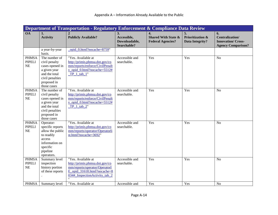|                                     | Department of Transportation - Regulatory Enforcement & Compliance Data Review                                                      |                                                                                                                                                         |                                                   |                                                                                |                                                |                                                                                       |  |  |
|-------------------------------------|-------------------------------------------------------------------------------------------------------------------------------------|---------------------------------------------------------------------------------------------------------------------------------------------------------|---------------------------------------------------|--------------------------------------------------------------------------------|------------------------------------------------|---------------------------------------------------------------------------------------|--|--|
| <b>OA</b>                           | 1.<br><b>Activity</b>                                                                                                               | <b>Publicly Available?</b>                                                                                                                              | 3.<br>Accessible,<br>Downloadable,<br>Searchable? | $\overline{4}$ .<br><b>Shared With State &amp;</b><br><b>Federal Agencies?</b> | <b>Prioritization &amp;</b><br>Data Integrity? | 6.<br><b>Centralization/</b><br><b>Innovation/Cross-</b><br><b>Agency Comparison?</b> |  |  |
|                                     | a year-by-year<br>basis.                                                                                                            | opid 0.html?nocache=8759"                                                                                                                               |                                                   |                                                                                |                                                |                                                                                       |  |  |
| <b>PHMSA</b><br><b>PIPELI</b><br>NE | The number of<br>civil penalty<br>cases opened in<br>a given year<br>and the total<br>civil penalties<br>proposed in<br>those cases | "Yes. Available at<br>http://primis.phmsa.dot.gov/co<br>mm/reports/enforce/CivilPenalt<br>y_opid_0.html?nocache=5512#<br>TP $1$ tab $1$ "               | Accessible and<br>searchable.                     | Yes                                                                            | Yes                                            | $\overline{No}$                                                                       |  |  |
| <b>PHMSA</b><br><b>PIPELI</b><br>NE | The number of<br>civil penalty<br>cases opened in<br>a given year<br>and the total<br>civil penalties<br>proposed in<br>those cases | "Yes. Available at<br>http://primis.phmsa.dot.gov/co<br>mm/reports/enforce/CivilPenalt<br>y opid 0.html?nocache=5512#<br>TP $1$ tab $2$ "               | Accessible and<br>searchable.                     | Yes                                                                            | Yes                                            | N <sub>o</sub>                                                                        |  |  |
| <b>PHMSA</b><br><b>PIPELI</b><br>NE | Operator-<br>specific reports<br>allow the public<br>to readily<br>access<br>information on<br>specific<br>pipeline<br>operators.   | "Yes. Available at<br>http://primis.phmsa.dot.gov/co<br>mm/reports/operator/Operatorli<br>st.html?nocache=3692"                                         | Accessible and<br>searchable.                     | Yes                                                                            | Yes                                            | N <sub>o</sub>                                                                        |  |  |
| <b>PHMSA</b><br><b>PIPELI</b><br>NE | Summary level<br>inspection<br>history portion<br>of these reports                                                                  | "Yes. Available at<br>http://primis.phmsa.dot.gov/co<br>mm/reports/operator/OperatorI<br>$E$ opid 31618.html?nocache=8<br>034#_InspectionActivity_tab_2 | Accessible and<br>searchable.                     | Yes                                                                            | Yes                                            | N <sub>o</sub>                                                                        |  |  |
| <b>PHMSA</b>                        | Summary level                                                                                                                       | "Yes. Available at                                                                                                                                      | Accessible and                                    | Yes                                                                            | Yes                                            | N <sub>o</sub>                                                                        |  |  |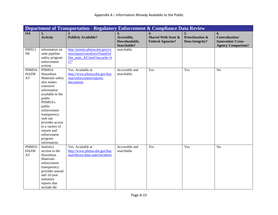|                                   | Department of Transportation - Regulatory Enforcement & Compliance Data Review                                                                                                                                                                                                        |                                                                                                      |                                                   |                                                                  |                                                      |                                                                                       |  |
|-----------------------------------|---------------------------------------------------------------------------------------------------------------------------------------------------------------------------------------------------------------------------------------------------------------------------------------|------------------------------------------------------------------------------------------------------|---------------------------------------------------|------------------------------------------------------------------|------------------------------------------------------|---------------------------------------------------------------------------------------|--|
| <b>OA</b>                         | 1.<br><b>Activity</b>                                                                                                                                                                                                                                                                 | <b>Publicly Available?</b>                                                                           | 3.<br>Accessible,<br>Downloadable,<br>Searchable? | 4.<br><b>Shared With State &amp;</b><br><b>Federal Agencies?</b> | 5.<br><b>Prioritization &amp;</b><br>Data Integrity? | 6.<br><b>Centralization/</b><br><b>Innovation/Cross-</b><br><b>Agency Comparison?</b> |  |
| <b>PIPELI</b><br>NE               | information on<br>state pipeline<br>safety program<br>enforcement<br>actions                                                                                                                                                                                                          | http://primis.phmsa.dot.gov/co<br>mm/reports/stenforce/StateEnf<br>Det state AZ.html?nocache=6<br>57 | searchable.                                       |                                                                  |                                                      |                                                                                       |  |
| <b>PHMSA</b><br><b>HAZM</b><br>AT | <b>PHMSA</b><br>Hazardous<br>Materials safety<br>also makes<br>extensive<br>information<br>available to the<br>public.<br>PHMSA's<br>public<br>enforcement<br>transparency<br>web site<br>provides access<br>to a variety of<br>reports and<br>enforcement<br>program<br>information. | Yes. Available at<br>http://www.phmsa.dot.gov/haz<br>mat/enforcement/reports-<br>documents           | Accessible and<br>searchable.                     | Yes                                                              | Yes                                                  | N <sub>o</sub>                                                                        |  |
| <b>PHMSA</b><br><b>HAZM</b><br>AT | <b>Statistics</b><br>section to the<br>Hazardous<br>Materials<br>enforcement<br>transparency<br>provides annual<br>and 10-year<br>summary<br>reports that<br>include the                                                                                                              | Yes. Available at<br>http://www.phmsa.dot.gov/haz<br>mat/library/data-stats/incidents                | Accessible and<br>searchable.                     | Yes                                                              | Yes                                                  | N <sub>o</sub>                                                                        |  |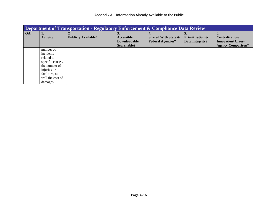|           | Department of Transportation - Regulatory Enforcement & Compliance Data Review |                            |               |                                |                             |                           |  |  |
|-----------|--------------------------------------------------------------------------------|----------------------------|---------------|--------------------------------|-----------------------------|---------------------------|--|--|
| <b>OA</b> |                                                                                |                            | 3.            | 4.                             | 5.                          | 6.                        |  |  |
|           | <b>Activity</b>                                                                | <b>Publicly Available?</b> | Accessible,   | <b>Shared With State &amp;</b> | <b>Prioritization &amp;</b> | Centralization/           |  |  |
|           |                                                                                |                            | Downloadable, | <b>Federal Agencies?</b>       | Data Integrity?             | <b>Innovation/ Cross-</b> |  |  |
|           |                                                                                |                            | Searchable?   |                                |                             | <b>Agency Comparison?</b> |  |  |
|           | number of                                                                      |                            |               |                                |                             |                           |  |  |
|           | incidents                                                                      |                            |               |                                |                             |                           |  |  |
|           | related to                                                                     |                            |               |                                |                             |                           |  |  |
|           | specific causes,                                                               |                            |               |                                |                             |                           |  |  |
|           | the number of                                                                  |                            |               |                                |                             |                           |  |  |
|           | injuries or                                                                    |                            |               |                                |                             |                           |  |  |
|           | fatalities, as                                                                 |                            |               |                                |                             |                           |  |  |
|           | well the cost of                                                               |                            |               |                                |                             |                           |  |  |
|           | damages.                                                                       |                            |               |                                |                             |                           |  |  |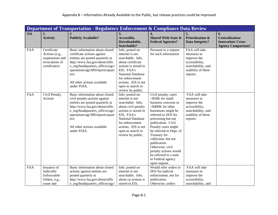|            | Department of Transportation - Regulatory Enforcement & Compliance Data Review      |                                                                                                                                                                                                                                                                   |                                                                                                                                                                                                                               |                                                                                                                                                                                                                                                                                                                                                                                                        |                                                                                                                       |                                                                                |  |  |  |
|------------|-------------------------------------------------------------------------------------|-------------------------------------------------------------------------------------------------------------------------------------------------------------------------------------------------------------------------------------------------------------------|-------------------------------------------------------------------------------------------------------------------------------------------------------------------------------------------------------------------------------|--------------------------------------------------------------------------------------------------------------------------------------------------------------------------------------------------------------------------------------------------------------------------------------------------------------------------------------------------------------------------------------------------------|-----------------------------------------------------------------------------------------------------------------------|--------------------------------------------------------------------------------|--|--|--|
| <b>OA</b>  | 1.<br><b>Activity</b>                                                               | <b>Publicly Available?</b>                                                                                                                                                                                                                                        | 3.<br>Accessible,<br>Downloadable,<br>Searchable?                                                                                                                                                                             | 4.<br><b>Shared With State &amp;</b><br><b>Federal Agencies?</b>                                                                                                                                                                                                                                                                                                                                       | 5.<br><b>Prioritization &amp;</b><br>Data Integrity?                                                                  | 6.<br>Centralization/<br><b>Innovation/Cross-</b><br><b>Agency Comparison?</b> |  |  |  |
| <b>FAA</b> | Certificate<br>Actions (e.g.,<br>suspensions and<br>revocations of<br>certificates) | Basic information about closed<br>certificate actions against<br>entities are posted quarterly at<br>http://www.faa.gov/about/offic<br>e_org/headquarters_offices/agc/<br>operations/agc300/reports/quart<br>ers/<br>All other actions available<br>under FOIA.   | Info. posted on<br>internet is not<br>searchable. Info.<br>about certificate<br>actions is stored in<br>EIS, FAA's<br>National Database<br>for enforcement<br>actions. EIS is not<br>open to search or<br>review by public.   | Pursuant to a request<br>for such information                                                                                                                                                                                                                                                                                                                                                          | FAA will take<br>measures to<br>improve the<br>accessibility,<br>searchability, and<br>usability of these<br>reports. |                                                                                |  |  |  |
| <b>FAA</b> | Civil Penalty<br>Actions                                                            | Basic information about closed<br>civil penalty actions against<br>entities are posted quarterly at<br>http://www.faa.gov/about/offic<br>e_org/headquarters_offices/agc/<br>operations/agc300/reports/quart<br>ers/<br>All other actions available<br>under FOIA. | Info. posted on<br>internet is not<br>searchable. Info.<br>about civil penalty<br>actions is stored in<br>EIS, FAA's<br>National Database<br>for enforcement<br>actions. EIS is not<br>open to search or<br>review by public. | Civil penalty cases<br>$> $50K$ for small<br>business concerns or<br>>\$400K for other<br>businesses might be<br>referred to DOJ for<br>processing but not<br>publication. Civil<br>Penalty cases might<br>be referred to Dept. of<br>Treasury for<br>collection, but not<br>publication.<br>Otherwise, civil<br>penalty actions would<br>be referred to a state<br>or Federal agency<br>upon request. | FAA will take<br>measures to<br>improve the<br>accessibility,<br>searchability, and<br>usability of these<br>reports. |                                                                                |  |  |  |
| FAA        | Issuance of<br>Judicially<br>Enforceable<br>Orders, e.g.,<br>cease and              | Basic information about closed<br>actions against entities are<br>posted quarterly at<br>http://www.faa.gov/about/offic<br>e org/headquarters offices/agc/                                                                                                        | Info. posted on<br>internet is not<br>searchable. Info.<br>about cp actions is<br>stored in EIS,                                                                                                                              | Would refer orders to<br>DOJ for judicial<br>enforcement, not for<br>publication.<br>Otherwise, orders                                                                                                                                                                                                                                                                                                 | FAA will take<br>measures to<br>improve the<br>accessibility,<br>searchability, and                                   |                                                                                |  |  |  |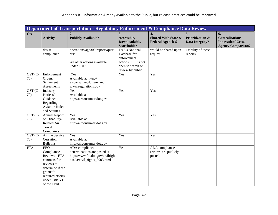|                |                                                                                                                                                                 | Department of Transportation - Regulatory Enforcement & Compliance Data Review                                      |                                                                                                                       |                                                                  |                                                             |                                                                                       |
|----------------|-----------------------------------------------------------------------------------------------------------------------------------------------------------------|---------------------------------------------------------------------------------------------------------------------|-----------------------------------------------------------------------------------------------------------------------|------------------------------------------------------------------|-------------------------------------------------------------|---------------------------------------------------------------------------------------|
| <b>OA</b>      | 1.<br><b>Activity</b>                                                                                                                                           | <b>Publicly Available?</b>                                                                                          | 3.<br>Accessible,<br>Downloadable,<br>Searchable?                                                                     | 4.<br><b>Shared With State &amp;</b><br><b>Federal Agencies?</b> | 5.<br><b>Prioritization &amp;</b><br><b>Data Integrity?</b> | 6.<br><b>Centralization/</b><br><b>Innovation/Cross-</b><br><b>Agency Comparison?</b> |
|                | desist,<br>compliance                                                                                                                                           | operations/agc300/reports/quart<br>ers/<br>All other actions available<br>under FOIA.                               | <b>FAA's National</b><br>Database for<br>enforcement<br>actions. EIS is not<br>open to search or<br>review by public. | would be shared upon<br>request.                                 | usability of these<br>reports.                              |                                                                                       |
| OST (C-<br>70) | Enforcement<br>Orders/<br>Settlement<br>Agreements                                                                                                              | Yes<br>Available at http://<br>airconsumer.dot.gov and<br>www.regulations.gov                                       | Yes                                                                                                                   | Yes                                                              |                                                             |                                                                                       |
| OST (C-<br>70) | Industry<br>Notices/<br>Guidance<br>Regarding<br><b>Aviation Rules</b><br>and Statutes                                                                          | Yes<br>Available at<br>http://airconsumer.dot.gov                                                                   | Yes                                                                                                                   | Yes                                                              |                                                             |                                                                                       |
| OST (C-<br>70) | <b>Annual Report</b><br>on Disability-<br><b>Related Air</b><br>Travel<br>Complaints                                                                            | Yes<br>Available at<br>http://airconsumer.dot.gov                                                                   | Yes                                                                                                                   | Yes                                                              |                                                             |                                                                                       |
| OST (C-<br>70) | <b>Airline Service</b><br>Cessation<br><b>Bulletins</b>                                                                                                         | Yes<br>Available at<br>http://airconsumer.dot.gov                                                                   | Yes                                                                                                                   | Yes                                                              |                                                             |                                                                                       |
| <b>FTA</b>     | <b>EEO</b><br>Compliance<br>Reviews - FTA<br>contracts for<br>reviews to<br>determine if the<br>grantee's<br>required efforts<br>under Title VI<br>of the Civil | ADA compliance<br>determinations are posted at<br>http://www.fta.dot.gov/civilrigh<br>ts/ada/civil_rights_3903.html | Yes                                                                                                                   | ADA compliance<br>reviews are publicly<br>posted.                |                                                             |                                                                                       |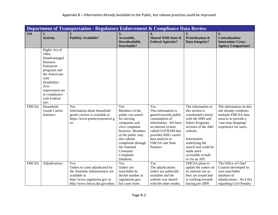|              | Department of Transportation - Regulatory Enforcement & Compliance Data Review                                                                                                                               |                                                                                                                                                            |                                                                                                                                                                                                                                    |                                                                                                                                                                                                                        |                                                                                                                                                                                                                                                             |                                                                                                                                                 |  |  |
|--------------|--------------------------------------------------------------------------------------------------------------------------------------------------------------------------------------------------------------|------------------------------------------------------------------------------------------------------------------------------------------------------------|------------------------------------------------------------------------------------------------------------------------------------------------------------------------------------------------------------------------------------|------------------------------------------------------------------------------------------------------------------------------------------------------------------------------------------------------------------------|-------------------------------------------------------------------------------------------------------------------------------------------------------------------------------------------------------------------------------------------------------------|-------------------------------------------------------------------------------------------------------------------------------------------------|--|--|
| <b>OA</b>    | 1.<br><b>Activity</b>                                                                                                                                                                                        | <b>Publicly Available?</b>                                                                                                                                 | 3.<br>Accessible,<br>Downloadable,<br>Searchable?                                                                                                                                                                                  | 4.<br><b>Shared With State &amp;</b><br><b>Federal Agencies?</b>                                                                                                                                                       | 5.<br><b>Prioritization &amp;</b><br>Data Integrity?                                                                                                                                                                                                        | 6.<br><b>Centralization/</b><br><b>Innovation/Cross-</b><br><b>Agency Comparison?</b>                                                           |  |  |
|              | Rights Act of<br>1964,<br>Disadvantaged<br><b>Business</b><br>Enterprise<br>programs and<br>the Americans<br>with<br><b>Disabilities</b><br>Acts<br>requirement are<br>in compliance<br>with Federal<br>law. |                                                                                                                                                            |                                                                                                                                                                                                                                    |                                                                                                                                                                                                                        |                                                                                                                                                                                                                                                             |                                                                                                                                                 |  |  |
| <b>FMCSA</b> | Household<br>Goods Carrier<br><b>Statistics</b>                                                                                                                                                              | Yes.<br>Information about household<br>goods carriers is available at<br>https://www.protectyourmove.g<br>OV.                                              | Yes.<br>Members of the<br>public can search<br>for moving<br>companies and<br>view complaint<br>histories. Members<br>of the public may<br>also submit<br>complaints through<br>the National<br>Consumer<br>Complaint<br>Database. | Yes.<br>This information is<br>geared towards public<br>consumption of<br>information. We have<br>an internal system<br>called GOTHAM that<br>provides HHG carrier<br>data analysis to<br>FMCSA and State<br>Partners. | The information in<br>this section is<br>coordinated closely<br>with the SMS and<br><b>Safety Programs</b><br>sections of the A&I<br>website.<br>Information<br>underlying the<br>search tool could be<br>made more<br>accessible in bulk<br>or via an API. | The information on this<br>site already combines<br>multiple FMCSA data<br>sources to provide a<br>"one-stop shopping"<br>experience for users. |  |  |
| <b>FMCSA</b> | Adjudications                                                                                                                                                                                                | Yes.<br>Orders in cases adjudicated by<br>the Assistant Administrator are<br>available at<br>http://www.regulatons.gov or<br>http://www.fmcsa.dot.gov/abou | Yes.<br>Orders are<br>searchable by<br>docket number at<br>regulations.gov,<br>but cases from                                                                                                                                      | Yes.<br>The adjudications<br>orders are publically<br>available and the<br>website was shared<br>with the other modes.                                                                                                 | FMCSA plans to<br>update the orders on<br>its internal site as<br>they are issued and<br>is working towards<br>having pre-2009                                                                                                                              | The Office of Chief<br>Counsel developed its<br>own searchable<br>database of<br>adjudications. An FAQ<br>regarding Civil Penalty               |  |  |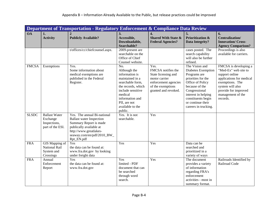|              | Department of Transportation - Regulatory Enforcement & Compliance Data Review |                                                                                                                                                                                           |                                                                                                                                                                                                      |                                                                                                                                         |                                                                                                                                                                                                                             |                                                                                                                                                                                             |  |  |
|--------------|--------------------------------------------------------------------------------|-------------------------------------------------------------------------------------------------------------------------------------------------------------------------------------------|------------------------------------------------------------------------------------------------------------------------------------------------------------------------------------------------------|-----------------------------------------------------------------------------------------------------------------------------------------|-----------------------------------------------------------------------------------------------------------------------------------------------------------------------------------------------------------------------------|---------------------------------------------------------------------------------------------------------------------------------------------------------------------------------------------|--|--|
| <b>OA</b>    | 1.<br><b>Activity</b>                                                          | <b>Publicly Available?</b>                                                                                                                                                                | 3.<br>Accessible,<br>Downloadable,<br><b>Searchable?</b>                                                                                                                                             | $\overline{4}$ .<br><b>Shared With State &amp;</b><br><b>Federal Agencies?</b>                                                          | 5.<br><b>Prioritization &amp;</b><br><b>Data Integrity?</b>                                                                                                                                                                 | 6.<br><b>Centralization/</b><br><b>Innovation/Cross-</b><br><b>Agency Comparison?</b>                                                                                                       |  |  |
|              |                                                                                | t/offices/cc/chiefcounsel.aspx.                                                                                                                                                           | 2009-present are<br>searchable on the<br>Office of Chief<br>Counsel website.                                                                                                                         |                                                                                                                                         | cases posted. The<br>search capability<br>will also be further<br>refined.                                                                                                                                                  | Proceedings is also<br>available for carriers.                                                                                                                                              |  |  |
| <b>FMCSA</b> | Exemptions                                                                     | Yes.<br>Some information about<br>medical exemptions are<br>published in the Federal<br>Register.                                                                                         | No.<br>Although the<br>information is<br>maintained in a<br>searchable form,<br>the records, which<br>include sensitive<br>medical<br>information and<br>PII, are not<br>available to the<br>public. | Yes.<br>FMCSA notifies the<br>State licensing and<br>motor carrier<br>enforcement agencies<br>of the exemptions<br>granted and revoked. | The Vision and<br>Diabetes Exemption<br>Programs are<br>priorities for the<br>Office of Policy<br>because of the<br>Congressional<br>interest in helping<br>constituents begin<br>or continue their<br>careers in trucking. | FMCSA is developing a<br>"Med-Ex" web site to<br>support online<br>applications for medical<br>exemptions. The<br>system will also<br>provide for improved<br>management of the<br>records. |  |  |
| <b>SLSDC</b> | <b>Ballast Water</b><br>Exchange<br>Inspections,<br>part of the ESI.           | Yes. The annual Bi-national<br><b>Ballast water Inspection</b><br>Summary Report is made<br>publically available at<br>http://www.greatlakes-<br>seaway.com/en/pdf/2010_BW_<br>Rpt_EN.pdf | Yes. It is not<br>searchable.                                                                                                                                                                        | Yes                                                                                                                                     |                                                                                                                                                                                                                             |                                                                                                                                                                                             |  |  |
| <b>FRA</b>   | GIS Mapping of<br><b>National Rail</b><br>System and<br>Crossings              | Yes<br>the data can be found at:<br>www.fra.dot.gov by looking<br>under freight data                                                                                                      | Yes                                                                                                                                                                                                  | Yes                                                                                                                                     | Data can be<br>searched and<br>prioritized in a<br>variety of ways                                                                                                                                                          |                                                                                                                                                                                             |  |  |
| <b>FRA</b>   | Annual<br>Enforcement<br>Report                                                | Yes<br>the data can be found at:<br>www.fra.dot.gov                                                                                                                                       | Yes<br>limited - PDF<br>document that can<br>be searched<br>through word<br>search.                                                                                                                  | Yes                                                                                                                                     | The document<br>provides a variety<br>of information<br>regarding FRA's<br>enforcement<br>activities - most in<br>summary format.                                                                                           | Railroads Identified by<br>Railroad Code                                                                                                                                                    |  |  |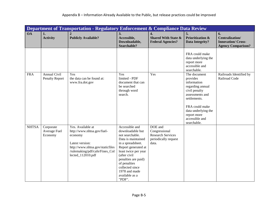|              |                                              | Department of Transportation - Regulatory Enforcement & Compliance Data Review                                                                                           |                                                                                                                                                                                                                                                                        |                                                                                       |                                                                                                                                                                                           |                                                                                       |
|--------------|----------------------------------------------|--------------------------------------------------------------------------------------------------------------------------------------------------------------------------|------------------------------------------------------------------------------------------------------------------------------------------------------------------------------------------------------------------------------------------------------------------------|---------------------------------------------------------------------------------------|-------------------------------------------------------------------------------------------------------------------------------------------------------------------------------------------|---------------------------------------------------------------------------------------|
| <b>OA</b>    | 1.<br><b>Activity</b>                        | <b>Publicly Available?</b>                                                                                                                                               | 3.<br>Accessible,<br>Downloadable,<br>Searchable?                                                                                                                                                                                                                      | 4.<br><b>Shared With State &amp;</b><br><b>Federal Agencies?</b>                      | 5.<br><b>Prioritization &amp;</b><br><b>Data Integrity?</b>                                                                                                                               | 6.<br><b>Centralization/</b><br><b>Innovation/Cross-</b><br><b>Agency Comparison?</b> |
|              |                                              |                                                                                                                                                                          |                                                                                                                                                                                                                                                                        |                                                                                       | FRA could make<br>data underlying the<br>report more<br>accessible and<br>searchable.                                                                                                     |                                                                                       |
| <b>FRA</b>   | <b>Annual Civil</b><br><b>Penalty Report</b> | Yes<br>the data can be found at:<br>www.fra.dot.gov                                                                                                                      | Yes<br>limited - PDF<br>document that can<br>be searched<br>through word<br>search.                                                                                                                                                                                    | Yes                                                                                   | The document<br>provides<br>information<br>regarding annual<br>civil penalty<br>assessments and<br>settlements.<br>FRA could make<br>data underlying the<br>report more<br>accessible and | Railroads Identified by<br>Railroad Code                                              |
| <b>NHTSA</b> | Corporate<br>Average Fuel<br>Economy         | Yes. Available at<br>http://www.nhtsa.gov/fuel-<br>economy<br>Latest version:<br>http://www.nhtsa.gov/staticfiles<br>/rulemaking/pdf/cafe/Fines_Col<br>lected_112010.pdf | Accessible and<br>downloadable but<br>not searchable.<br>Data is maintained<br>in a spreadsheet.<br>Report generated at<br>least twice per year<br>(after civil<br>penalties are paid)<br>of penalties<br>collected since<br>1978 and made<br>available as a<br>"PDF". | DOE and<br>Congressional<br><b>Research Services</b><br>periodically request<br>data. | searchable.                                                                                                                                                                               |                                                                                       |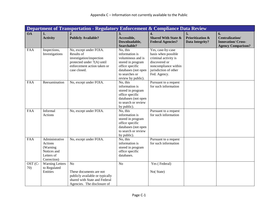|                |                                                                                   | Department of Transportation - Regulatory Enforcement & Compliance Data Review                                                                |                                                                                                                                                        |                                                                                                                                                    |                                                             |                                                                                       |
|----------------|-----------------------------------------------------------------------------------|-----------------------------------------------------------------------------------------------------------------------------------------------|--------------------------------------------------------------------------------------------------------------------------------------------------------|----------------------------------------------------------------------------------------------------------------------------------------------------|-------------------------------------------------------------|---------------------------------------------------------------------------------------|
| <b>OA</b>      | 1.<br><b>Activity</b>                                                             | <b>Publicly Available?</b>                                                                                                                    | 3.<br>Accessible,<br>Downloadable,<br>Searchable?                                                                                                      | $\overline{4}$ .<br><b>Shared With State &amp;</b><br><b>Federal Agencies?</b>                                                                     | 5.<br><b>Prioritization &amp;</b><br><b>Data Integrity?</b> | 6.<br><b>Centralization/</b><br><b>Innovation/Cross-</b><br><b>Agency Comparison?</b> |
| FAA            | Inspections,<br>Investigations                                                    | No, except under FOIA.<br>Results of<br>investigation/inspection<br>protected under 7(A) until<br>enforcement action taken or<br>case closed. | No, this<br>information is<br>voluminous and is<br>stored in program<br>office specific<br>databases (not open<br>to searches or<br>review by public). | Yes, case-by-case<br>basis when possible<br>criminal activity is<br>discovered or<br>noncompliance within<br>jurisdiction of other<br>Fed. Agency. |                                                             |                                                                                       |
| <b>FAA</b>     | Reexamination                                                                     | No, except under FOIA.                                                                                                                        | No, this<br>information is<br>stored in program<br>office specific<br>databases (not open<br>to search or review<br>by public).                        | Pursuant to a request<br>for such information                                                                                                      |                                                             |                                                                                       |
| <b>FAA</b>     | Informal<br>Actions                                                               | No, except under FOIA.                                                                                                                        | No, this<br>information is<br>stored in program<br>office specific<br>databases (not open<br>to search or review<br>by public).                        | Pursuant to a request<br>for such information                                                                                                      |                                                             |                                                                                       |
| <b>FAA</b>     | Administrative<br>Actions<br>(Warning<br>Notices and<br>Letters of<br>Correction) | No, except under FOIA.                                                                                                                        | No, this<br>information is<br>stored in program<br>office specific<br>databases.                                                                       | Pursuant to a request<br>for such information                                                                                                      |                                                             |                                                                                       |
| OST (C-<br>70) | <b>Warning Letters</b><br>to Regulated<br>Entities                                | N <sub>o</sub><br>These documents are not<br>publicly available or typically<br>shared with State and Federal<br>Agencies. The disclosure of  | N <sub>o</sub>                                                                                                                                         | Yes (Federal)<br>No(State)                                                                                                                         |                                                             |                                                                                       |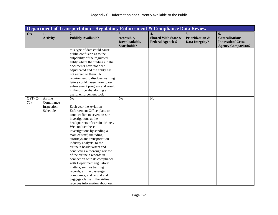|           | Department of Transportation - Regulatory Enforcement & Compliance Data Review |                                                                                                                                                                                                                                                                                                                                                                                                                                                                                                                                                                                                                         |                                                   |                                                                                |                                                      |                                                                                |  |  |
|-----------|--------------------------------------------------------------------------------|-------------------------------------------------------------------------------------------------------------------------------------------------------------------------------------------------------------------------------------------------------------------------------------------------------------------------------------------------------------------------------------------------------------------------------------------------------------------------------------------------------------------------------------------------------------------------------------------------------------------------|---------------------------------------------------|--------------------------------------------------------------------------------|------------------------------------------------------|--------------------------------------------------------------------------------|--|--|
| <b>OA</b> | 1.<br><b>Activity</b>                                                          | <b>Publicly Available?</b>                                                                                                                                                                                                                                                                                                                                                                                                                                                                                                                                                                                              | 3.<br>Accessible,<br>Downloadable,<br>Searchable? | $\overline{4}$ .<br><b>Shared With State &amp;</b><br><b>Federal Agencies?</b> | 5.<br><b>Prioritization &amp;</b><br>Data Integrity? | 6.<br>Centralization/<br><b>Innovation/Cross-</b><br><b>Agency Comparison?</b> |  |  |
| OST (C-   | Airline                                                                        | this type of data could cause<br>public confusion as to the<br>culpability of the regulated<br>entity where the findings in the<br>documents have not been<br>adjudicated and the entity has<br>not agreed to them. A<br>requirement to disclose warning<br>letters could cause harm to our<br>enforcement program and result<br>in the office abandoning a<br>useful enforcement tool.<br>N <sub>o</sub>                                                                                                                                                                                                               | N <sub>o</sub>                                    | N <sub>o</sub>                                                                 |                                                      |                                                                                |  |  |
| 70)       | Compliance<br>Inspection<br>Schedule                                           | Each year the Aviation<br>Enforcement Office plans to<br>conduct five to seven on-site<br>investigations at the<br>headquarters of certain airlines.<br>We conduct these<br>investigations by sending a<br>team of staff, including<br>attorneys and transportation<br>industry analysts, to the<br>airline's headquarters and<br>conducting a thorough review<br>of the airline's records in<br>connection with its compliance<br>with Department regulatory<br>matters, such as training<br>records, airline passenger<br>complaints, and refund and<br>baggage claims. The airline<br>receives information about our |                                                   |                                                                                |                                                      |                                                                                |  |  |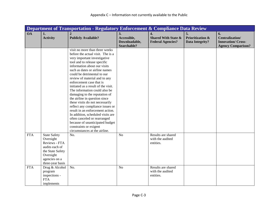|            | Department of Transportation - Regulatory Enforcement & Compliance Data Review                                                            |                                                                                                                                                                                                                                                                                                                                                                                                                                                                                                                                                                                                                                                                                                                           |                                                   |                                                                                |                                                      |                                                                                       |  |  |
|------------|-------------------------------------------------------------------------------------------------------------------------------------------|---------------------------------------------------------------------------------------------------------------------------------------------------------------------------------------------------------------------------------------------------------------------------------------------------------------------------------------------------------------------------------------------------------------------------------------------------------------------------------------------------------------------------------------------------------------------------------------------------------------------------------------------------------------------------------------------------------------------------|---------------------------------------------------|--------------------------------------------------------------------------------|------------------------------------------------------|---------------------------------------------------------------------------------------|--|--|
| <b>OA</b>  | 1.<br><b>Activity</b>                                                                                                                     | $\overline{2}$<br><b>Publicly Available?</b>                                                                                                                                                                                                                                                                                                                                                                                                                                                                                                                                                                                                                                                                              | 3.<br>Accessible,<br>Downloadable,<br>Searchable? | $\overline{4}$ .<br><b>Shared With State &amp;</b><br><b>Federal Agencies?</b> | 5.<br><b>Prioritization &amp;</b><br>Data Integrity? | 6.<br><b>Centralization/</b><br><b>Innovation/Cross-</b><br><b>Agency Comparison?</b> |  |  |
|            |                                                                                                                                           | visit no more than three weeks<br>before the actual visit. The is a<br>very important investigative<br>tool and to release specific<br>information about our visits<br>such as dates or airline names<br>could be detrimental to our<br>review of material and to any<br>enforcement case that is<br>initiated as a result of the visit.<br>The information could also be<br>damaging to the reputation of<br>the airline in question since<br>these visits do not necessarily<br>reflect any compliance issues or<br>result in an enforcement action.<br>In addition, scheduled visits are<br>often canceled or rearranged<br>because of unanticipated budget<br>constraints or exigent<br>circumstances at the airline. |                                                   |                                                                                |                                                      |                                                                                       |  |  |
| <b>FTA</b> | <b>State Safety</b><br>Oversight<br>Reviews - FTA<br>audits each of<br>the State Safety<br>Oversight<br>agencies on a<br>three-year basis | No.                                                                                                                                                                                                                                                                                                                                                                                                                                                                                                                                                                                                                                                                                                                       | N <sub>o</sub>                                    | Results are shared<br>with the audited<br>entities.                            |                                                      |                                                                                       |  |  |
| <b>FTA</b> | Drug & Alcohol<br>program<br>inspections -<br><b>FTA</b><br>implements                                                                    | No.                                                                                                                                                                                                                                                                                                                                                                                                                                                                                                                                                                                                                                                                                                                       | N <sub>o</sub>                                    | Results are shared<br>with the audited<br>entities.                            |                                                      |                                                                                       |  |  |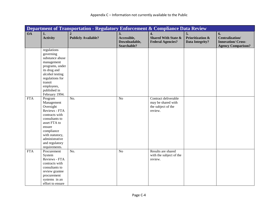|            | Department of Transportation - Regulatory Enforcement & Compliance Data Review                                                                                                                          |                                              |                                                   |                                                                                |                                                      |                                                                                       |  |  |
|------------|---------------------------------------------------------------------------------------------------------------------------------------------------------------------------------------------------------|----------------------------------------------|---------------------------------------------------|--------------------------------------------------------------------------------|------------------------------------------------------|---------------------------------------------------------------------------------------|--|--|
| <b>OA</b>  | 1.<br><b>Activity</b>                                                                                                                                                                                   | $\overline{2}$<br><b>Publicly Available?</b> | 3.<br>Accessible,<br>Downloadable,<br>Searchable? | $\overline{4}$ .<br><b>Shared With State &amp;</b><br><b>Federal Agencies?</b> | 5.<br><b>Prioritization &amp;</b><br>Data Integrity? | 6.<br><b>Centralization/</b><br><b>Innovation/Cross-</b><br><b>Agency Comparison?</b> |  |  |
|            | regulations<br>governing<br>substance abuse<br>management<br>programs, under<br>its drug and<br>alcohol testing<br>regulations for<br>transit<br>employees,<br>published in<br>February 1994.           |                                              |                                                   |                                                                                |                                                      |                                                                                       |  |  |
| <b>FTA</b> | Program<br>Management<br>Oversight<br>Reviews - FTA<br>contracts with<br>consultants to<br>asset FTA to<br>ensure<br>compliance<br>with statutory,<br>administrative<br>and regulatory<br>requirements. | No.                                          | N <sub>o</sub>                                    | Contract deliverable<br>may be shared with<br>the subject of the<br>review.    |                                                      |                                                                                       |  |  |
| <b>FTA</b> | Procurement<br>System<br>Reviews - FTA<br>contracts with<br>consultants to<br>review grantee<br>procurement<br>systems in an<br>effort to ensure                                                        | $\overline{No.}$                             | $\overline{No}$                                   | Results are shared<br>with the subject of the<br>review.                       |                                                      |                                                                                       |  |  |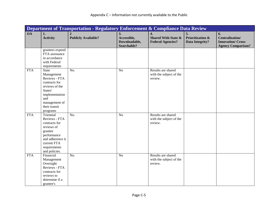|            | Department of Transportation - Regulatory Enforcement & Compliance Data Review                                                                                   |                                              |                                                   |                                                                                |                                                             |                                                                                       |  |  |
|------------|------------------------------------------------------------------------------------------------------------------------------------------------------------------|----------------------------------------------|---------------------------------------------------|--------------------------------------------------------------------------------|-------------------------------------------------------------|---------------------------------------------------------------------------------------|--|--|
| <b>OA</b>  | 1.<br><b>Activity</b>                                                                                                                                            | $\overline{2}$<br><b>Publicly Available?</b> | 3.<br>Accessible,<br>Downloadable,<br>Searchable? | $\overline{4}$ .<br><b>Shared With State &amp;</b><br><b>Federal Agencies?</b> | 5.<br><b>Prioritization &amp;</b><br><b>Data Integrity?</b> | 6.<br><b>Centralization/</b><br><b>Innovation/Cross-</b><br><b>Agency Comparison?</b> |  |  |
|            | grantees expend<br>FTA assistance<br>in accordance<br>with Federal<br>requirements                                                                               |                                              |                                                   |                                                                                |                                                             |                                                                                       |  |  |
| <b>FTA</b> | <b>State</b><br>Management<br>Reviews - FTA<br>contracts for<br>reviews of the<br>States'<br>implementation<br>and<br>management of<br>their transit<br>programs | $\overline{No.}$                             | N <sub>o</sub>                                    | Results are shared<br>with the subject of the<br>review.                       |                                                             |                                                                                       |  |  |
| <b>FTA</b> | Triennial<br>Reviews - FTA<br>contracts for<br>reviews of<br>grantee<br>performance<br>and adherence it<br>current FTA<br>requirements<br>and policies.          | No.                                          | N <sub>o</sub>                                    | Results are shared<br>with the subject of the<br>review.                       |                                                             |                                                                                       |  |  |
| <b>FTA</b> | Financial<br>Management<br>Oversight<br>Reviews - FTA<br>contracts for<br>reviews to<br>determine if a<br>grantee's                                              | $\overline{No.}$                             | N <sub>o</sub>                                    | Results are shared<br>with the subject of the<br>review.                       |                                                             |                                                                                       |  |  |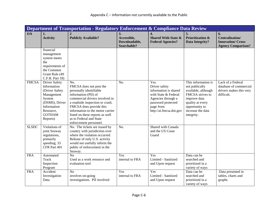|              | Department of Transportation - Regulatory Enforcement & Compliance Data Review                                                                           |                                                                                                                                                                                                                                                                                                               |                                                   |                                                                                                                                                            |                                                                                                                                                                           |                                                                                       |  |  |
|--------------|----------------------------------------------------------------------------------------------------------------------------------------------------------|---------------------------------------------------------------------------------------------------------------------------------------------------------------------------------------------------------------------------------------------------------------------------------------------------------------|---------------------------------------------------|------------------------------------------------------------------------------------------------------------------------------------------------------------|---------------------------------------------------------------------------------------------------------------------------------------------------------------------------|---------------------------------------------------------------------------------------|--|--|
| <b>OA</b>    | 1.<br><b>Activity</b>                                                                                                                                    | $\mathbf{2}$<br><b>Publicly Available?</b>                                                                                                                                                                                                                                                                    | 3.<br>Accessible,<br>Downloadable,<br>Searchable? | 4.<br><b>Shared With State &amp;</b><br><b>Federal Agencies?</b>                                                                                           | 5.<br><b>Prioritization &amp;</b><br><b>Data Integrity?</b>                                                                                                               | 6.<br><b>Centralization/</b><br><b>Innovation/Cross-</b><br><b>Agency Comparison?</b> |  |  |
|              | financial<br>management<br>system meets<br>the<br>requirements of<br>the Common<br>Grant Rule (49<br>C.F.R. Part 18)                                     |                                                                                                                                                                                                                                                                                                               |                                                   |                                                                                                                                                            |                                                                                                                                                                           |                                                                                       |  |  |
| <b>FMCSA</b> | <b>Driver Safety</b><br>Information<br>(Driver Safety<br>Management<br>System<br>(DSMS), Driver<br>Information<br>Resource,<br><b>GOTHAM</b><br>Reports) | No.<br>FMCSA does not post the<br>personally identifiable<br>information (PII) of<br>commercial drivers involved in<br>a roadside inspection or crash.<br>FMCSA does provide this<br>information to the motor carrier<br>listed on these reports as well<br>as to Federal and State<br>enforcement personnel. | No.                                               | Yes.<br>Driver safety<br>information is shared<br>with State & Federal<br>Agencies through a<br>password protected<br>page from<br>http://ai.fmcsa.dot.gov | This information is<br>not publically<br>available, although<br>FMCSA strives to<br>improve data<br>quality at every<br>opportunity to<br>increase the data<br>integrity. | Lack of a Federal<br>database of commercial<br>drivers makes this very<br>difficult.  |  |  |
| <b>SLSDC</b> | Violations of<br>joint Seaway<br>regulations,<br>primarily<br>speeding; 33<br>CFR Part 401                                                               | No. The tickets are issued by<br>country with jurisdiction over<br>where the violation occurred.<br>Release of only U.S. activity<br>would not usefully inform the<br>public of enforcement in the<br>Seaway.                                                                                                 | No.                                               | Shared with Canada<br>and the US Coast<br>Guard                                                                                                            |                                                                                                                                                                           |                                                                                       |  |  |
| <b>FRA</b>   | Automated<br>Track<br>Inspection<br>Program                                                                                                              | $\overline{No}$<br>Used as a work resource and<br>evaluation tool                                                                                                                                                                                                                                             | Yes<br>internal to FRA                            | Yes<br>Limited - Sanitized<br>and Upon request                                                                                                             | Data can be<br>searched and<br>prioritized in a<br>variety of ways                                                                                                        |                                                                                       |  |  |
| <b>FRA</b>   | Accident<br>Investigation<br>Data                                                                                                                        | N <sub>o</sub><br>involves on-going<br>investigations. PII involved                                                                                                                                                                                                                                           | Yes<br>internal to FRA                            | Yes<br>Limited - Sanitized<br>and Upon request                                                                                                             | Data can be<br>searched and<br>prioritized in a<br>variety of ways                                                                                                        | Data presented in<br>tables, charts and<br>graphs                                     |  |  |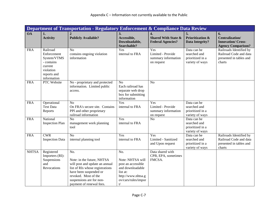|              | Department of Transportation - Regulatory Enforcement & Compliance Data Review                             |                                                                                                                                                                                                                  |                                                                                                                                  |                                                                  |                                                                    |                                                                                        |  |  |
|--------------|------------------------------------------------------------------------------------------------------------|------------------------------------------------------------------------------------------------------------------------------------------------------------------------------------------------------------------|----------------------------------------------------------------------------------------------------------------------------------|------------------------------------------------------------------|--------------------------------------------------------------------|----------------------------------------------------------------------------------------|--|--|
| <b>OA</b>    | 1.<br><b>Activity</b>                                                                                      | <b>Publicly Available?</b>                                                                                                                                                                                       | 3.<br>Accessible,<br>Downloadable,<br>Searchable?                                                                                | 4.<br><b>Shared With State &amp;</b><br><b>Federal Agencies?</b> | 5.<br><b>Prioritization &amp;</b><br><b>Data Integrity?</b>        | 6.<br>Centralization/<br><b>Innovation/Cross-</b><br><b>Agency Comparison?</b>         |  |  |
| <b>FRA</b>   | Railroad<br>Enforcement<br>System/VTMS<br>- contains<br>current<br>violation<br>reports and<br>information | No<br>contains ongoing violation<br>information                                                                                                                                                                  | Yes<br>internal to FRA                                                                                                           | Yes<br>Limited - Provide<br>summary information<br>on request    | Data can be<br>searched and<br>prioritized in a<br>variety of ways | Railroads Identified by<br>Railroad Code and data<br>presented in tables and<br>charts |  |  |
| <b>FRA</b>   | PTC Website                                                                                                | No - proprietary and protected<br>information. Limited public<br>access.                                                                                                                                         | N <sub>o</sub><br>Each railroad has<br>separate web drop<br>box for submitting<br>information                                    | N <sub>o</sub>                                                   |                                                                    |                                                                                        |  |  |
| <b>FRA</b>   | Operational<br><b>Test Data</b><br>Reports                                                                 | N <sub>o</sub><br>On FRA's secure site. Contains<br>PPI and other proprietary<br>railroad information                                                                                                            | Yes<br>internal to FRA                                                                                                           | Yes<br>Limited - Provide<br>summary information<br>on request    | Data can be<br>searched and<br>prioritized in a<br>variety of ways |                                                                                        |  |  |
| <b>FRA</b>   | National<br><b>Inspection Plan</b>                                                                         | No<br>management work planning<br>tool                                                                                                                                                                           | Yes<br>internal to FRA                                                                                                           | N <sub>o</sub>                                                   | Data can be<br>searched and<br>prioritized in a<br>variety of ways |                                                                                        |  |  |
| <b>FRA</b>   | CWR<br><b>Inspection Data</b>                                                                              | No<br>internal planning tool                                                                                                                                                                                     | Yes<br>internal to FRA                                                                                                           | Yes<br>Limited - Sanitized<br>and Upon request                   | Data can be<br>searched and<br>prioritized in a<br>variety of ways | Railroads Identified by<br>Railroad Code and data<br>presented in tables and<br>charts |  |  |
| <b>NHTSA</b> | Registered<br>Importers (RI):<br>Suspensions<br>and<br>Revocations                                         | No.<br>Note: in the future, NHTSA<br>will post and update an annual<br>list of RIs whose registrations<br>have been suspended or<br>revoked. Most of the<br>suspensions are for non-<br>payment of renewal fees. | No.<br>Note: NHTSA will<br>post an accessible<br>and downloadable<br>list at:<br>http://www.nhtsa.g<br>ov/cars/rules/impor<br>t/ | Data shared with<br>CPB, EPA, sometimes<br>FMCSA.                |                                                                    |                                                                                        |  |  |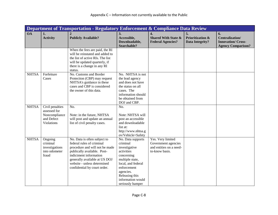|              | Department of Transportation - Regulatory Enforcement & Compliance Data Review |                                                                                                                                                                                                                                                      |                                                                                                                                                                                                            |                                                                                       |                                                      |                                                                                       |  |  |
|--------------|--------------------------------------------------------------------------------|------------------------------------------------------------------------------------------------------------------------------------------------------------------------------------------------------------------------------------------------------|------------------------------------------------------------------------------------------------------------------------------------------------------------------------------------------------------------|---------------------------------------------------------------------------------------|------------------------------------------------------|---------------------------------------------------------------------------------------|--|--|
| <b>OA</b>    | 1.<br><b>Activity</b>                                                          | <b>Publicly Available?</b>                                                                                                                                                                                                                           | 3.<br>Accessible,<br>Downloadable,<br>Searchable?                                                                                                                                                          | 4.<br><b>Shared With State &amp;</b><br><b>Federal Agencies?</b>                      | 5.<br><b>Prioritization &amp;</b><br>Data Integrity? | 6.<br><b>Centralization/</b><br><b>Innovation/Cross-</b><br><b>Agency Comparison?</b> |  |  |
|              |                                                                                | When the fees are paid, the RI<br>will be reinstated and added to<br>the list of active RIs. The list<br>will be updated quarterly, if<br>there is a change in any RI<br>status.                                                                     |                                                                                                                                                                                                            |                                                                                       |                                                      |                                                                                       |  |  |
| <b>NHTSA</b> | Forfeiture<br>Cases                                                            | No. Customs and Border<br>Protection (CBP) may request<br>NHTSA's guidance in these<br>cases and CBP is considered<br>the owner of this data.                                                                                                        | No. NHTSA is not<br>the lead agency<br>and does not have<br>the status on all<br>cases. The<br>information should<br>be obtained from<br>DOJ and CBP.                                                      |                                                                                       |                                                      |                                                                                       |  |  |
| <b>NHTSA</b> | Civil penalties<br>assessed for<br>Noncompliance<br>and Defect<br>Violations   | No.<br>Note: in the future, NHTSA<br>will post and update an annual<br>list of civil penalty cases.                                                                                                                                                  | No.<br>Note: NHTSA will<br>post an accessible<br>and downloadable<br>list at:<br>http://www.nhtsa.g<br>ov/Vehicle+Safety                                                                                   |                                                                                       |                                                      |                                                                                       |  |  |
| <b>NHTSA</b> | Ongoing<br>criminal<br>investigations<br>into odometer<br>fraud                | No. Data is often subject to<br>federal rules of criminal<br>procedure and will not be made<br>publically available. Post-<br>indictment information<br>generally available at US DOJ<br>website - unless determined<br>confidential by court order. | No. Data supports<br>criminal<br>investigative<br>activities<br>concerning<br>multiple state,<br>local, and federal<br>enforcement<br>agencies.<br>Releasing this<br>information would<br>seriously hamper | Yes. Very limited<br>Government agencies<br>and entities on a need-<br>to-know basis. |                                                      |                                                                                       |  |  |